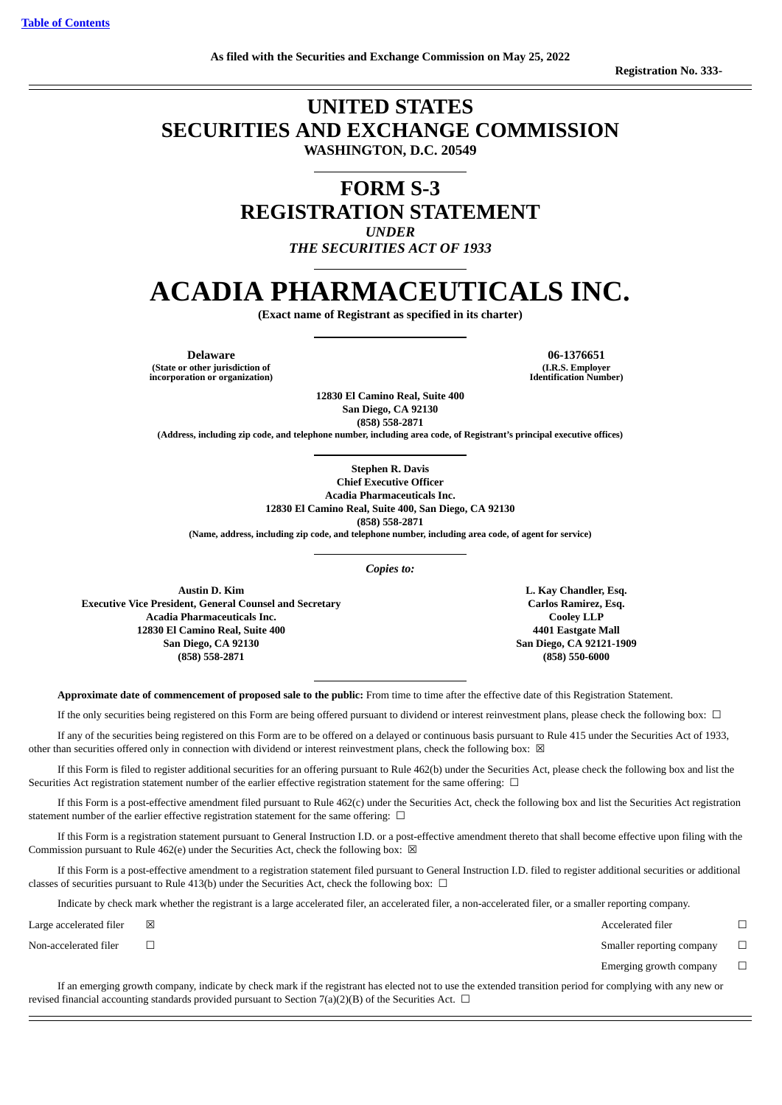#### **UNITED STATES SECURITIES AND EXCHANGE COMMISSION WASHINGTON, D.C. 20549**

**FORM S-3 REGISTRATION STATEMENT** *UNDER*

*THE SECURITIES ACT OF 1933*

### **ACADIA PHARMACEUTICALS INC.**

**(Exact name of Registrant as specified in its charter)**

**Delaware 06-1376651 (State or other jurisdiction of incorporation or organization)**

> **12830 El Camino Real, Suite 400 San Diego, CA 92130 (858) 558-2871**

**(Address, including zip code, and telephone number, including area code, of Registrant's principal executive offices)**

**Stephen R. Davis**

**Chief Executive Officer Acadia Pharmaceuticals Inc. 12830 El Camino Real, Suite 400, San Diego, CA 92130**

**(858) 558-2871**

**(Name, address, including zip code, and telephone number, including area code, of agent for service)**

*Copies to:*

**Austin D. Kim Executive Vice President, General Counsel and Secretary Acadia Pharmaceuticals Inc. 12830 El Camino Real, Suite 400 San Diego, CA 92130 (858) 558-2871**

**L. Kay Chandler, Esq. Carlos Ramirez, Esq. Cooley LLP 4401 Eastgate Mall San Diego, CA 92121-1909 (858) 550-6000**

**Approximate date of commencement of proposed sale to the public:** From time to time after the effective date of this Registration Statement.

If the only securities being registered on this Form are being offered pursuant to dividend or interest reinvestment plans, please check the following box: ☐

If any of the securities being registered on this Form are to be offered on a delayed or continuous basis pursuant to Rule 415 under the Securities Act of 1933, other than securities offered only in connection with dividend or interest reinvestment plans, check the following box:  $\boxtimes$ 

If this Form is filed to register additional securities for an offering pursuant to Rule 462(b) under the Securities Act, please check the following box and list the Securities Act registration statement number of the earlier effective registration statement for the same offering: □

If this Form is a post-effective amendment filed pursuant to Rule 462(c) under the Securities Act, check the following box and list the Securities Act registration statement number of the earlier effective registration statement for the same offering:  $\Box$ 

If this Form is a registration statement pursuant to General Instruction I.D. or a post-effective amendment thereto that shall become effective upon filing with the Commission pursuant to Rule 462(e) under the Securities Act, check the following box:  $\boxtimes$ 

If this Form is a post-effective amendment to a registration statement filed pursuant to General Instruction I.D. filed to register additional securities or additional classes of securities pursuant to Rule 413(b) under the Securities Act, check the following box:  $\Box$ 

Indicate by check mark whether the registrant is a large accelerated filer, an accelerated filer, a non-accelerated filer, or a smaller reporting company.

 $L$ arge accelerated filer  $□$ 

Non-accelerated filer <del>□</del> □

Emerging growth company  $\Box$ 

If an emerging growth company, indicate by check mark if the registrant has elected not to use the extended transition period for complying with any new or revised financial accounting standards provided pursuant to Section 7(a)(2)(B) of the Securities Act.  $\Box$ 

**(I.R.S. Employer Identification Number)**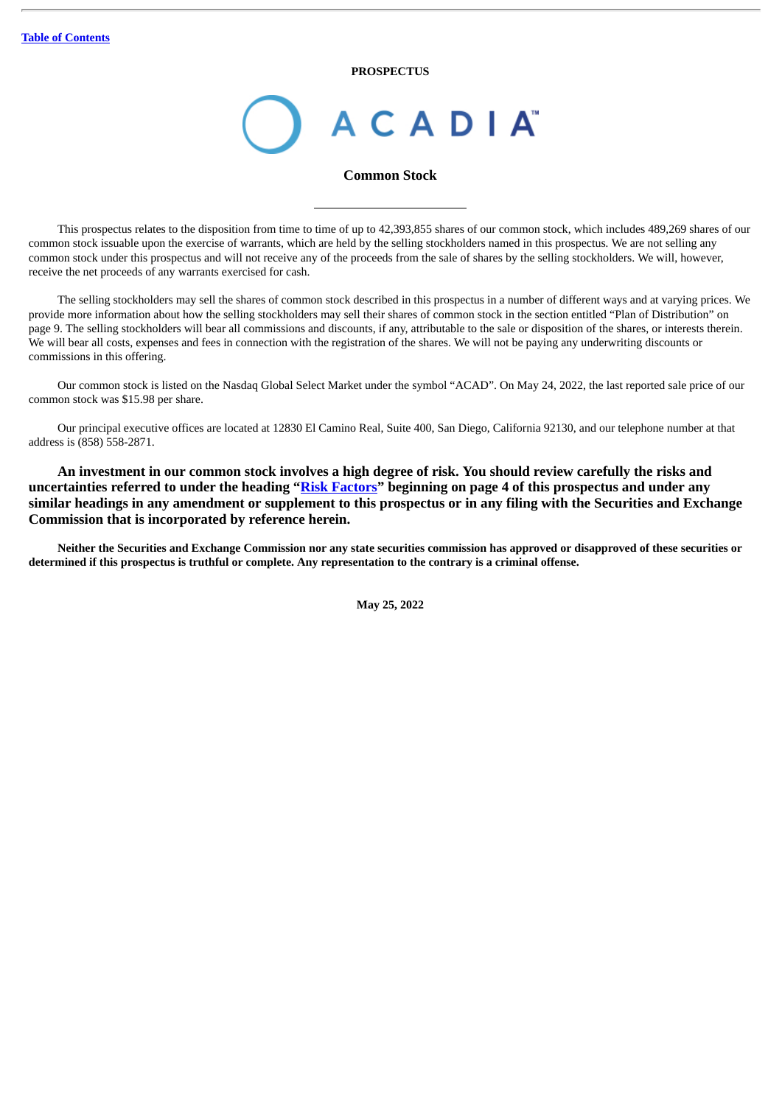**PROSPECTUS**

# **ACADIA**

#### **Common Stock**

This prospectus relates to the disposition from time to time of up to 42,393,855 shares of our common stock, which includes 489,269 shares of our common stock issuable upon the exercise of warrants, which are held by the selling stockholders named in this prospectus*.* We are not selling any common stock under this prospectus and will not receive any of the proceeds from the sale of shares by the selling stockholders. We will, however, receive the net proceeds of any warrants exercised for cash.

The selling stockholders may sell the shares of common stock described in this prospectus in a number of different ways and at varying prices. We provide more information about how the selling stockholders may sell their shares of common stock in the section entitled "Plan of Distribution" on page 9. The selling stockholders will bear all commissions and discounts, if any, attributable to the sale or disposition of the shares, or interests therein. We will bear all costs, expenses and fees in connection with the registration of the shares. We will not be paying any underwriting discounts or commissions in this offering.

Our common stock is listed on the Nasdaq Global Select Market under the symbol "ACAD". On May 24, 2022, the last reported sale price of our common stock was \$15.98 per share.

Our principal executive offices are located at 12830 El Camino Real, Suite 400, San Diego, California 92130, and our telephone number at that address is (858) 558-2871.

**An investment in our common stock involves a high degree of risk. You should review carefully the risks and uncertainties referred to under the heading "[Risk Factors](#page-7-0)" beginning on page 4 of this prospectus and under any similar headings in any amendment or supplement to this prospectus or in any filing with the Securities and Exchange Commission that is incorporated by reference herein.**

Neither the Securities and Exchange Commission nor any state securities commission has approved or disapproved of these securities or determined if this prospectus is truthful or complete. Any representation to the contrary is a criminal offense.

**May 25, 2022**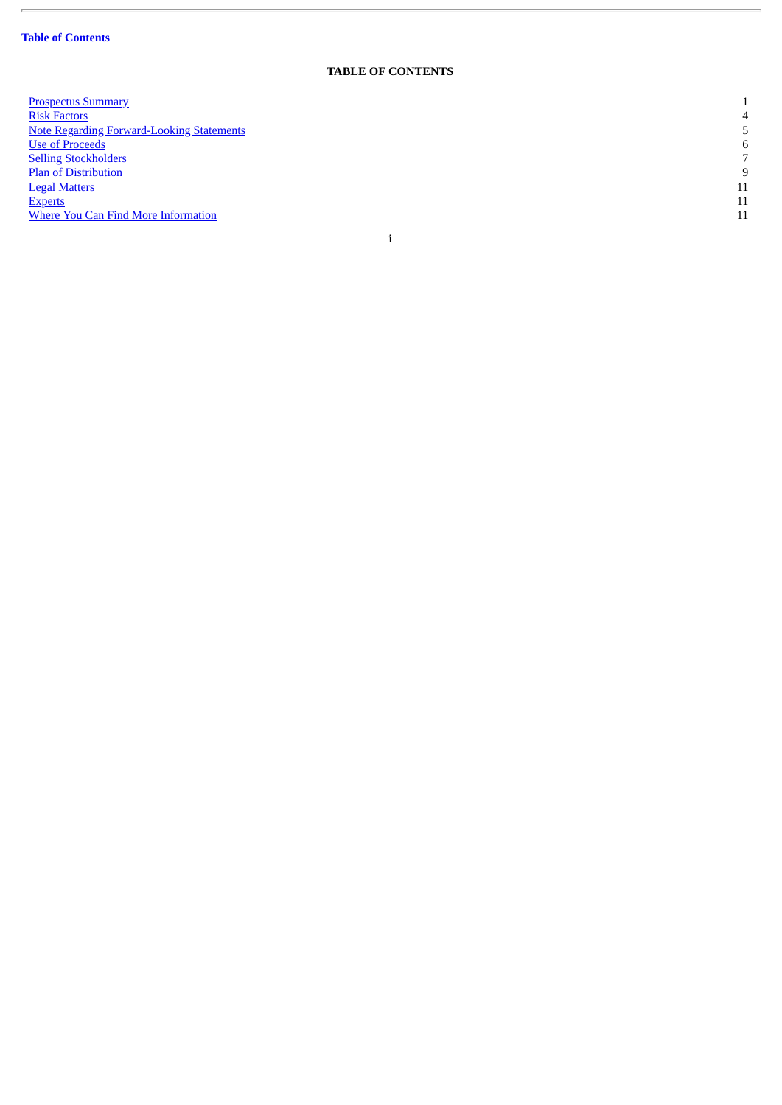ł.

#### **TABLE OF CONTENTS**

<span id="page-2-0"></span>

| <b>Prospectus Summary</b>                        |    |
|--------------------------------------------------|----|
| <b>Risk Factors</b>                              | 4  |
| <b>Note Regarding Forward-Looking Statements</b> | 5  |
| <b>Use of Proceeds</b>                           | 6  |
| <b>Selling Stockholders</b>                      | 7  |
| <b>Plan of Distribution</b>                      | 9  |
| <b>Legal Matters</b>                             | 11 |
| <b>Experts</b>                                   | 11 |
| <b>Where You Can Find More Information</b>       | 11 |
|                                                  |    |
|                                                  |    |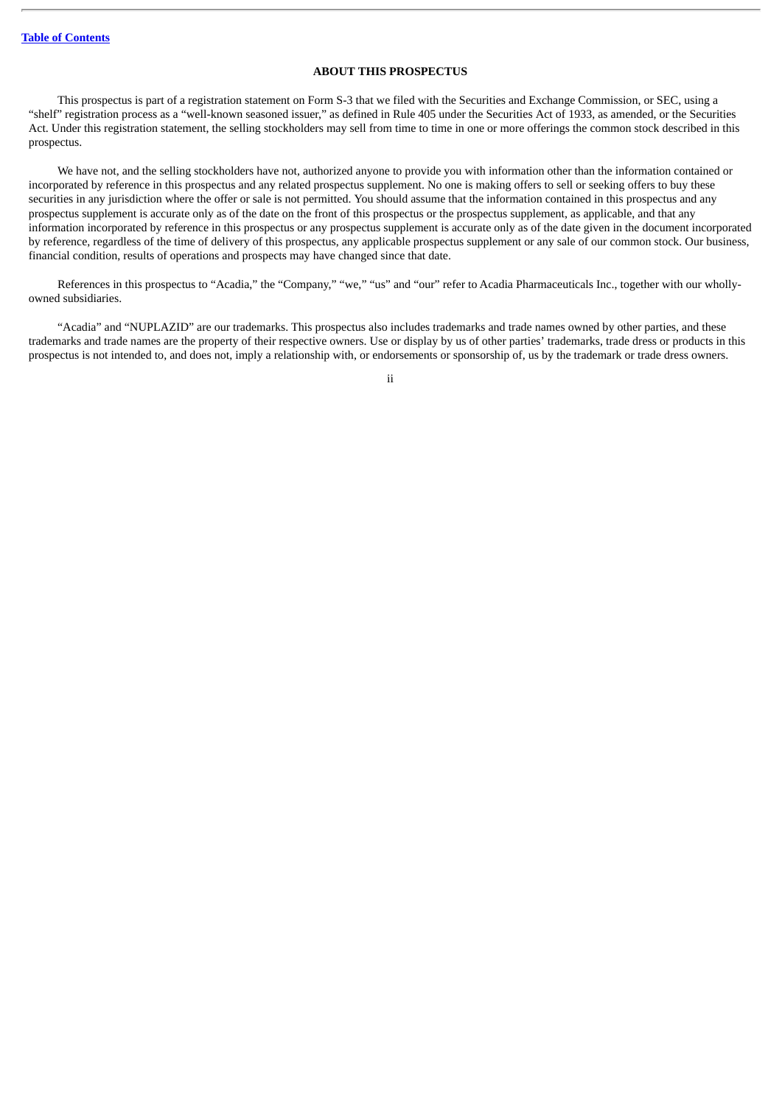#### **ABOUT THIS PROSPECTUS**

This prospectus is part of a registration statement on Form S-3 that we filed with the Securities and Exchange Commission, or SEC, using a "shelf" registration process as a "well-known seasoned issuer," as defined in Rule 405 under the Securities Act of 1933, as amended, or the Securities Act. Under this registration statement, the selling stockholders may sell from time to time in one or more offerings the common stock described in this prospectus.

We have not, and the selling stockholders have not, authorized anyone to provide you with information other than the information contained or incorporated by reference in this prospectus and any related prospectus supplement. No one is making offers to sell or seeking offers to buy these securities in any jurisdiction where the offer or sale is not permitted. You should assume that the information contained in this prospectus and any prospectus supplement is accurate only as of the date on the front of this prospectus or the prospectus supplement, as applicable, and that any information incorporated by reference in this prospectus or any prospectus supplement is accurate only as of the date given in the document incorporated by reference, regardless of the time of delivery of this prospectus, any applicable prospectus supplement or any sale of our common stock. Our business, financial condition, results of operations and prospects may have changed since that date.

References in this prospectus to "Acadia," the "Company," "we," "us" and "our" refer to Acadia Pharmaceuticals Inc., together with our whollyowned subsidiaries.

"Acadia" and "NUPLAZID" are our trademarks. This prospectus also includes trademarks and trade names owned by other parties, and these trademarks and trade names are the property of their respective owners. Use or display by us of other parties' trademarks, trade dress or products in this prospectus is not intended to, and does not, imply a relationship with, or endorsements or sponsorship of, us by the trademark or trade dress owners.

ii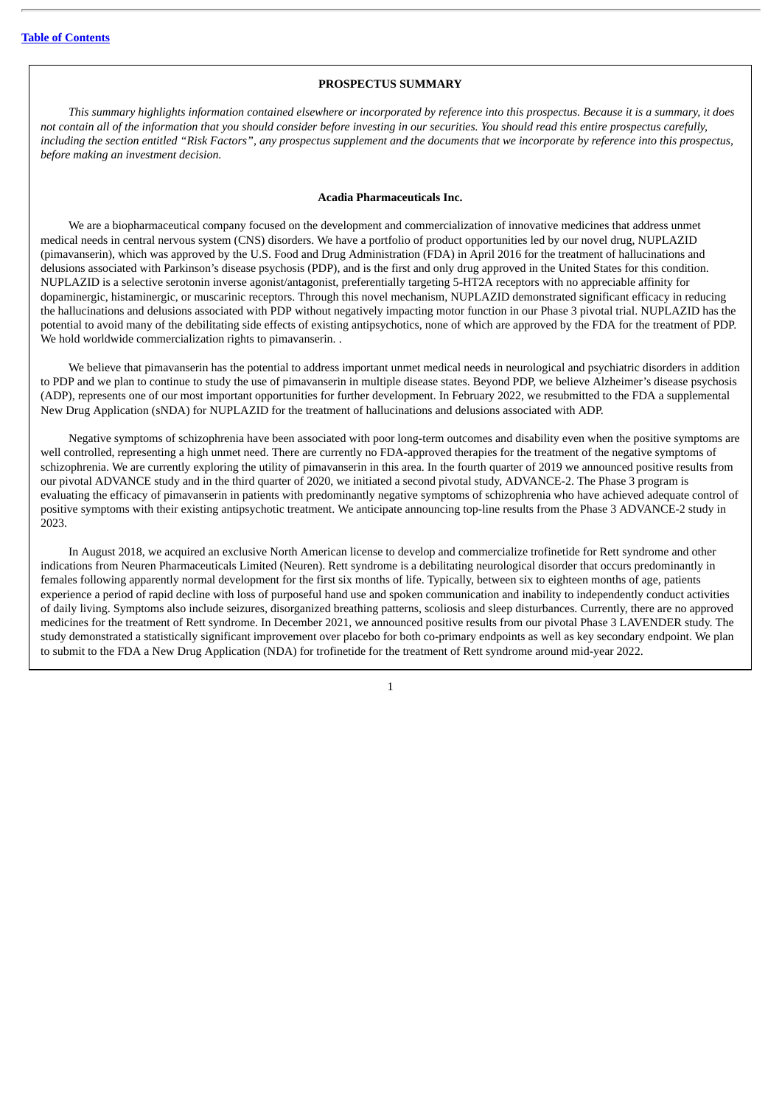#### **PROSPECTUS SUMMARY**

<span id="page-4-0"></span>This summary highlights information contained elsewhere or incorporated by reference into this prospectus. Because it is a summary, it does not contain all of the information that you should consider before investing in our securities. You should read this entire prospectus carefully, including the section entitled "Risk Factors", any prospectus supplement and the documents that we incorporate by reference into this prospectus, *before making an investment decision.*

#### **Acadia Pharmaceuticals Inc.**

We are a biopharmaceutical company focused on the development and commercialization of innovative medicines that address unmet medical needs in central nervous system (CNS) disorders. We have a portfolio of product opportunities led by our novel drug, NUPLAZID (pimavanserin), which was approved by the U.S. Food and Drug Administration (FDA) in April 2016 for the treatment of hallucinations and delusions associated with Parkinson's disease psychosis (PDP), and is the first and only drug approved in the United States for this condition. NUPLAZID is a selective serotonin inverse agonist/antagonist, preferentially targeting 5-HT2A receptors with no appreciable affinity for dopaminergic, histaminergic, or muscarinic receptors. Through this novel mechanism, NUPLAZID demonstrated significant efficacy in reducing the hallucinations and delusions associated with PDP without negatively impacting motor function in our Phase 3 pivotal trial. NUPLAZID has the potential to avoid many of the debilitating side effects of existing antipsychotics, none of which are approved by the FDA for the treatment of PDP. We hold worldwide commercialization rights to pimavanserin. .

We believe that pimavanserin has the potential to address important unmet medical needs in neurological and psychiatric disorders in addition to PDP and we plan to continue to study the use of pimavanserin in multiple disease states. Beyond PDP, we believe Alzheimer's disease psychosis (ADP), represents one of our most important opportunities for further development. In February 2022, we resubmitted to the FDA a supplemental New Drug Application (sNDA) for NUPLAZID for the treatment of hallucinations and delusions associated with ADP.

Negative symptoms of schizophrenia have been associated with poor long-term outcomes and disability even when the positive symptoms are well controlled, representing a high unmet need. There are currently no FDA-approved therapies for the treatment of the negative symptoms of schizophrenia. We are currently exploring the utility of pimavanserin in this area. In the fourth quarter of 2019 we announced positive results from our pivotal ADVANCE study and in the third quarter of 2020, we initiated a second pivotal study, ADVANCE-2. The Phase 3 program is evaluating the efficacy of pimavanserin in patients with predominantly negative symptoms of schizophrenia who have achieved adequate control of positive symptoms with their existing antipsychotic treatment. We anticipate announcing top-line results from the Phase 3 ADVANCE-2 study in 2023.

In August 2018, we acquired an exclusive North American license to develop and commercialize trofinetide for Rett syndrome and other indications from Neuren Pharmaceuticals Limited (Neuren). Rett syndrome is a debilitating neurological disorder that occurs predominantly in females following apparently normal development for the first six months of life. Typically, between six to eighteen months of age, patients experience a period of rapid decline with loss of purposeful hand use and spoken communication and inability to independently conduct activities of daily living. Symptoms also include seizures, disorganized breathing patterns, scoliosis and sleep disturbances. Currently, there are no approved medicines for the treatment of Rett syndrome. In December 2021, we announced positive results from our pivotal Phase 3 LAVENDER study. The study demonstrated a statistically significant improvement over placebo for both co-primary endpoints as well as key secondary endpoint. We plan to submit to the FDA a New Drug Application (NDA) for trofinetide for the treatment of Rett syndrome around mid-year 2022.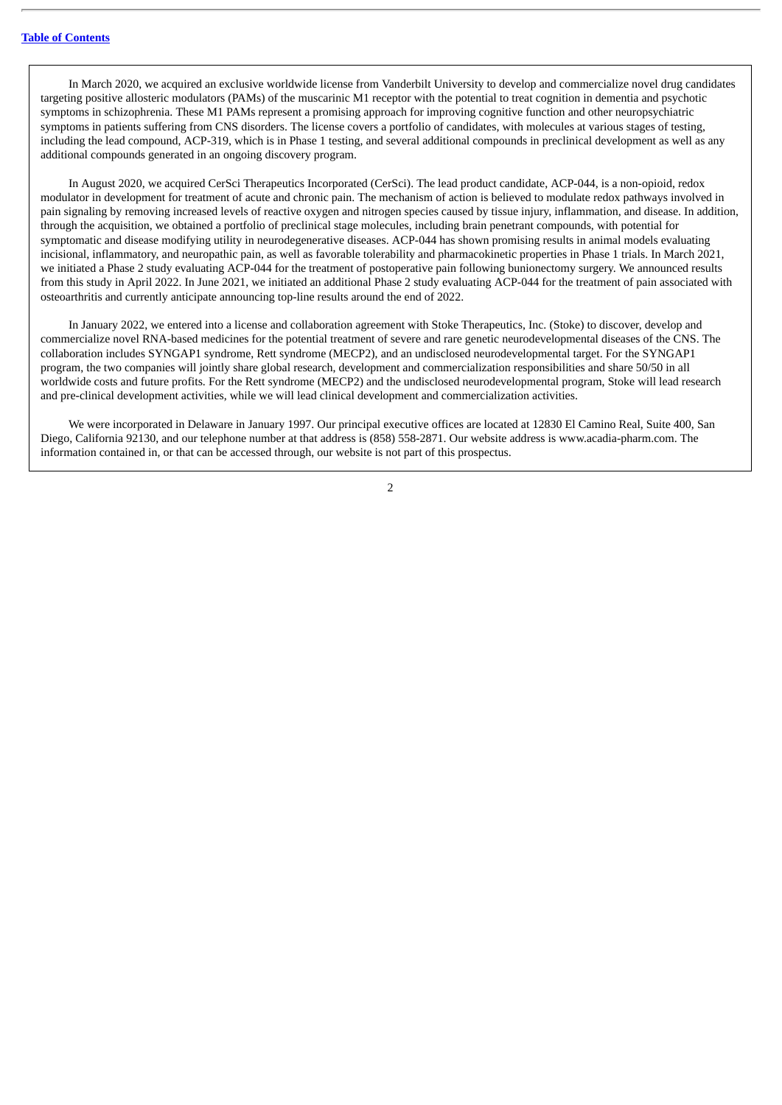In March 2020, we acquired an exclusive worldwide license from Vanderbilt University to develop and commercialize novel drug candidates targeting positive allosteric modulators (PAMs) of the muscarinic M1 receptor with the potential to treat cognition in dementia and psychotic symptoms in schizophrenia. These M1 PAMs represent a promising approach for improving cognitive function and other neuropsychiatric symptoms in patients suffering from CNS disorders. The license covers a portfolio of candidates, with molecules at various stages of testing, including the lead compound, ACP-319, which is in Phase 1 testing, and several additional compounds in preclinical development as well as any additional compounds generated in an ongoing discovery program.

In August 2020, we acquired CerSci Therapeutics Incorporated (CerSci). The lead product candidate, ACP-044, is a non-opioid, redox modulator in development for treatment of acute and chronic pain. The mechanism of action is believed to modulate redox pathways involved in pain signaling by removing increased levels of reactive oxygen and nitrogen species caused by tissue injury, inflammation, and disease. In addition, through the acquisition, we obtained a portfolio of preclinical stage molecules, including brain penetrant compounds, with potential for symptomatic and disease modifying utility in neurodegenerative diseases. ACP-044 has shown promising results in animal models evaluating incisional, inflammatory, and neuropathic pain, as well as favorable tolerability and pharmacokinetic properties in Phase 1 trials. In March 2021, we initiated a Phase 2 study evaluating ACP-044 for the treatment of postoperative pain following bunionectomy surgery. We announced results from this study in April 2022. In June 2021, we initiated an additional Phase 2 study evaluating ACP-044 for the treatment of pain associated with osteoarthritis and currently anticipate announcing top-line results around the end of 2022.

In January 2022, we entered into a license and collaboration agreement with Stoke Therapeutics, Inc. (Stoke) to discover, develop and commercialize novel RNA-based medicines for the potential treatment of severe and rare genetic neurodevelopmental diseases of the CNS. The collaboration includes SYNGAP1 syndrome, Rett syndrome (MECP2), and an undisclosed neurodevelopmental target. For the SYNGAP1 program, the two companies will jointly share global research, development and commercialization responsibilities and share 50/50 in all worldwide costs and future profits. For the Rett syndrome (MECP2) and the undisclosed neurodevelopmental program, Stoke will lead research and pre-clinical development activities, while we will lead clinical development and commercialization activities.

We were incorporated in Delaware in January 1997. Our principal executive offices are located at 12830 El Camino Real, Suite 400, San Diego, California 92130, and our telephone number at that address is (858) 558-2871. Our website address is www.acadia-pharm.com. The information contained in, or that can be accessed through, our website is not part of this prospectus.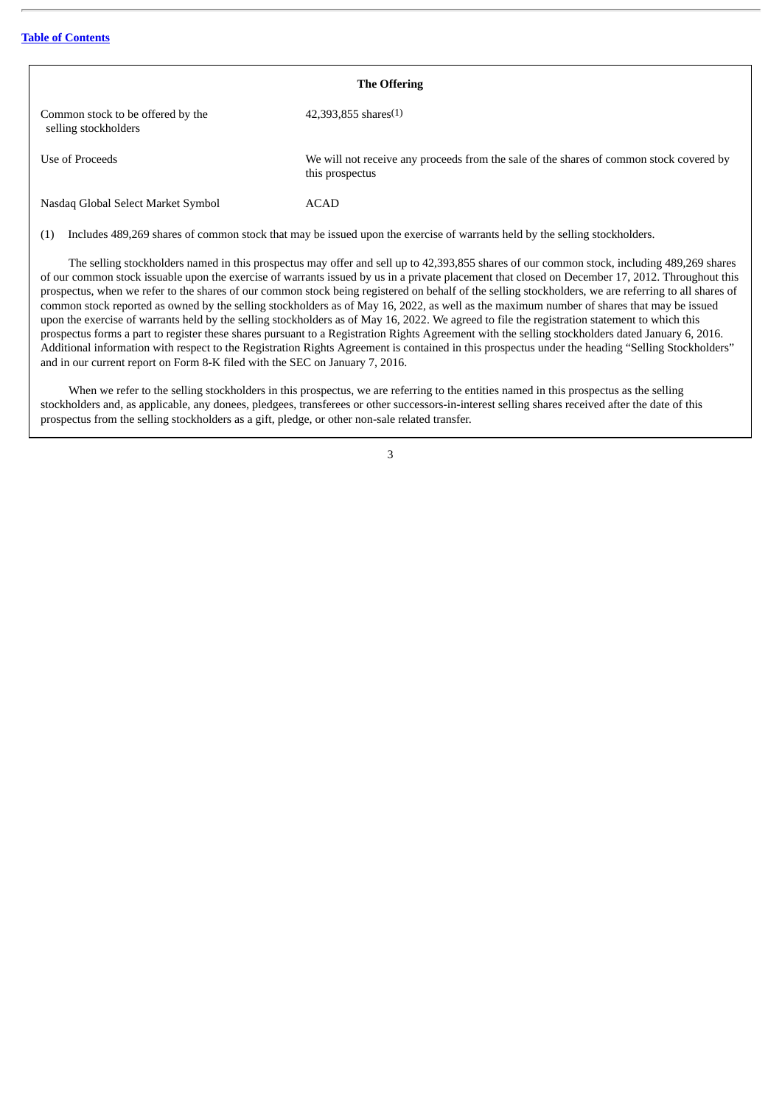| <b>The Offering</b>                                       |                                                                                                            |  |  |  |  |  |  |  |
|-----------------------------------------------------------|------------------------------------------------------------------------------------------------------------|--|--|--|--|--|--|--|
| Common stock to be offered by the<br>selling stockholders | $42,393,855$ shares $(1)$                                                                                  |  |  |  |  |  |  |  |
| Use of Proceeds                                           | We will not receive any proceeds from the sale of the shares of common stock covered by<br>this prospectus |  |  |  |  |  |  |  |
| Nasdaq Global Select Market Symbol                        | ACAD                                                                                                       |  |  |  |  |  |  |  |

(1) Includes 489,269 shares of common stock that may be issued upon the exercise of warrants held by the selling stockholders.

The selling stockholders named in this prospectus may offer and sell up to 42,393,855 shares of our common stock, including 489,269 shares of our common stock issuable upon the exercise of warrants issued by us in a private placement that closed on December 17, 2012. Throughout this prospectus, when we refer to the shares of our common stock being registered on behalf of the selling stockholders, we are referring to all shares of common stock reported as owned by the selling stockholders as of May 16, 2022, as well as the maximum number of shares that may be issued upon the exercise of warrants held by the selling stockholders as of May 16, 2022. We agreed to file the registration statement to which this prospectus forms a part to register these shares pursuant to a Registration Rights Agreement with the selling stockholders dated January 6, 2016. Additional information with respect to the Registration Rights Agreement is contained in this prospectus under the heading "Selling Stockholders" and in our current report on Form 8-K filed with the SEC on January 7, 2016.

When we refer to the selling stockholders in this prospectus, we are referring to the entities named in this prospectus as the selling stockholders and, as applicable, any donees, pledgees, transferees or other successors-in-interest selling shares received after the date of this prospectus from the selling stockholders as a gift, pledge, or other non-sale related transfer.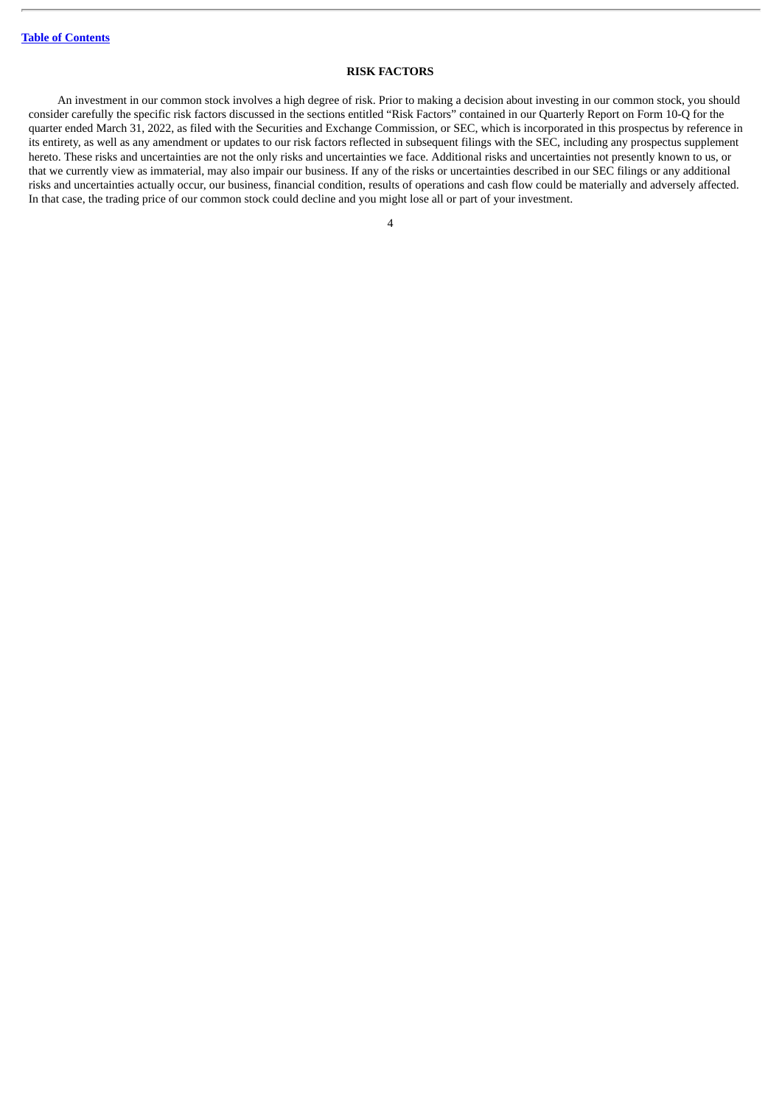#### **RISK FACTORS**

<span id="page-7-0"></span>An investment in our common stock involves a high degree of risk. Prior to making a decision about investing in our common stock, you should consider carefully the specific risk factors discussed in the sections entitled "Risk Factors" contained in our Quarterly Report on Form 10-Q for the quarter ended March 31, 2022, as filed with the Securities and Exchange Commission, or SEC, which is incorporated in this prospectus by reference in its entirety, as well as any amendment or updates to our risk factors reflected in subsequent filings with the SEC, including any prospectus supplement hereto. These risks and uncertainties are not the only risks and uncertainties we face. Additional risks and uncertainties not presently known to us, or that we currently view as immaterial, may also impair our business. If any of the risks or uncertainties described in our SEC filings or any additional risks and uncertainties actually occur, our business, financial condition, results of operations and cash flow could be materially and adversely affected. In that case, the trading price of our common stock could decline and you might lose all or part of your investment.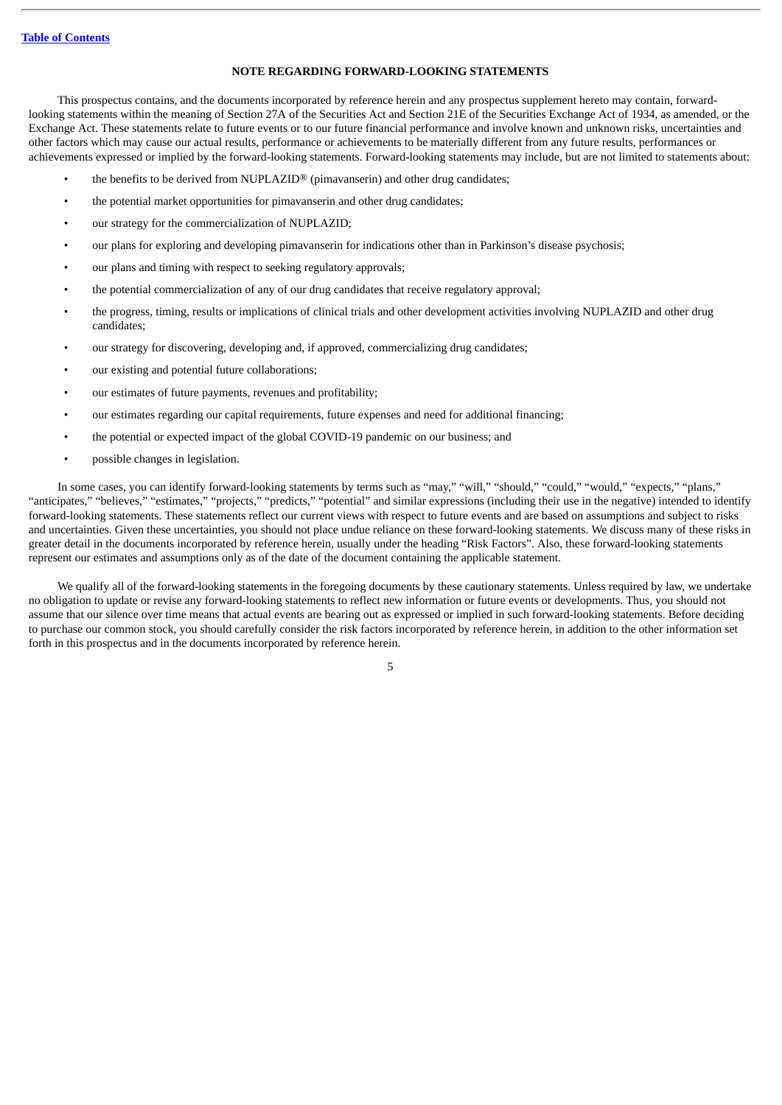#### **NOTE REGARDING FORWARD-LOOKING STATEMENTS**

<span id="page-8-0"></span>This prospectus contains, and the documents incorporated by reference herein and any prospectus supplement hereto may contain, forwardlooking statements within the meaning of Section 27A of the Securities Act and Section 21E of the Securities Exchange Act of 1934, as amended, or the Exchange Act. These statements relate to future events or to our future financial performance and involve known and unknown risks, uncertainties and other factors which may cause our actual results, performance or achievements to be materially different from any future results, performances or achievements expressed or implied by the forward-looking statements. Forward-looking statements may include, but are not limited to statements about:

- the benefits to be derived from NUPLAZID® (pimavanserin) and other drug candidates;
- the potential market opportunities for pimavanserin and other drug candidates;
- our strategy for the commercialization of NUPLAZID;
- our plans for exploring and developing pimavanserin for indications other than in Parkinson's disease psychosis;
- our plans and timing with respect to seeking regulatory approvals;
- the potential commercialization of any of our drug candidates that receive regulatory approval;
- the progress, timing, results or implications of clinical trials and other development activities involving NUPLAZID and other drug candidates;
- our strategy for discovering, developing and, if approved, commercializing drug candidates;
- our existing and potential future collaborations;
- our estimates of future payments, revenues and profitability;
- our estimates regarding our capital requirements, future expenses and need for additional financing;
- the potential or expected impact of the global COVID-19 pandemic on our business; and
- possible changes in legislation.

In some cases, you can identify forward-looking statements by terms such as "may," "will," "should," "could," "would," "expects," "plans," "anticipates," "believes," "estimates," "projects," "predicts," "potential" and similar expressions (including their use in the negative) intended to identify forward-looking statements. These statements reflect our current views with respect to future events and are based on assumptions and subject to risks and uncertainties. Given these uncertainties, you should not place undue reliance on these forward-looking statements. We discuss many of these risks in greater detail in the documents incorporated by reference herein, usually under the heading "Risk Factors". Also, these forward-looking statements represent our estimates and assumptions only as of the date of the document containing the applicable statement.

We qualify all of the forward-looking statements in the foregoing documents by these cautionary statements. Unless required by law, we undertake no obligation to update or revise any forward-looking statements to reflect new information or future events or developments. Thus, you should not assume that our silence over time means that actual events are bearing out as expressed or implied in such forward-looking statements. Before deciding to purchase our common stock, you should carefully consider the risk factors incorporated by reference herein, in addition to the other information set forth in this prospectus and in the documents incorporated by reference herein.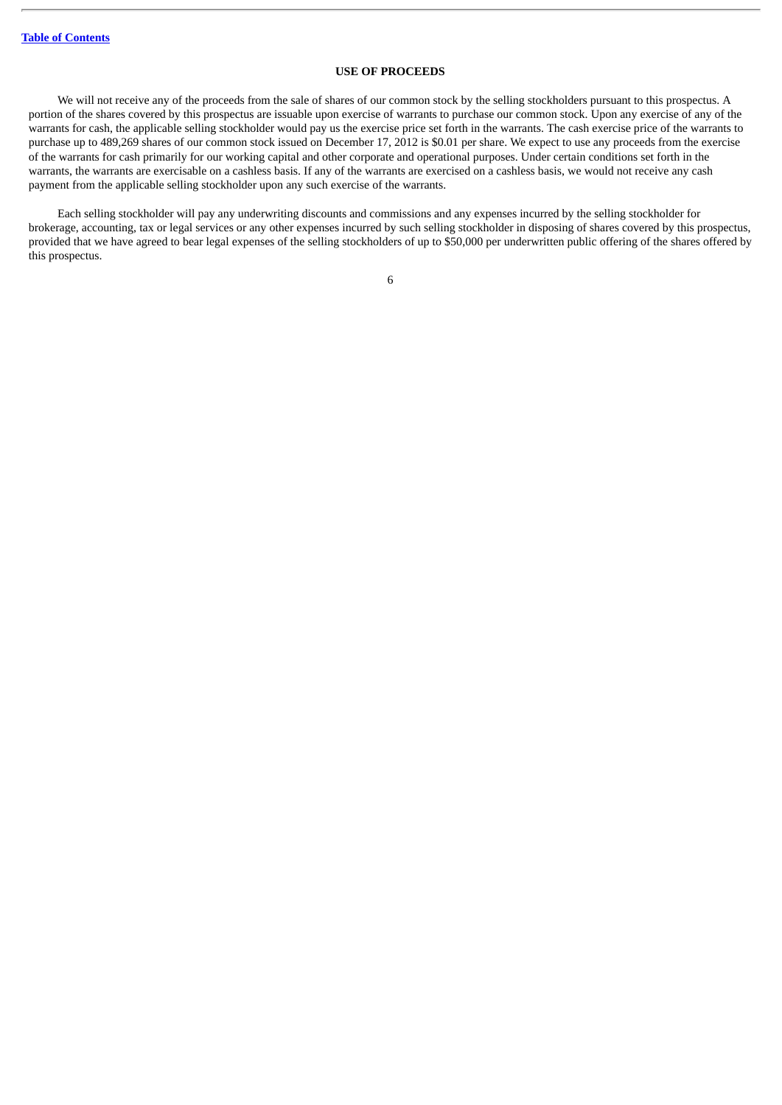#### **USE OF PROCEEDS**

<span id="page-9-0"></span>We will not receive any of the proceeds from the sale of shares of our common stock by the selling stockholders pursuant to this prospectus. A portion of the shares covered by this prospectus are issuable upon exercise of warrants to purchase our common stock. Upon any exercise of any of the warrants for cash, the applicable selling stockholder would pay us the exercise price set forth in the warrants. The cash exercise price of the warrants to purchase up to 489,269 shares of our common stock issued on December 17, 2012 is \$0.01 per share. We expect to use any proceeds from the exercise of the warrants for cash primarily for our working capital and other corporate and operational purposes. Under certain conditions set forth in the warrants, the warrants are exercisable on a cashless basis. If any of the warrants are exercised on a cashless basis, we would not receive any cash payment from the applicable selling stockholder upon any such exercise of the warrants.

Each selling stockholder will pay any underwriting discounts and commissions and any expenses incurred by the selling stockholder for brokerage, accounting, tax or legal services or any other expenses incurred by such selling stockholder in disposing of shares covered by this prospectus, provided that we have agreed to bear legal expenses of the selling stockholders of up to \$50,000 per underwritten public offering of the shares offered by this prospectus.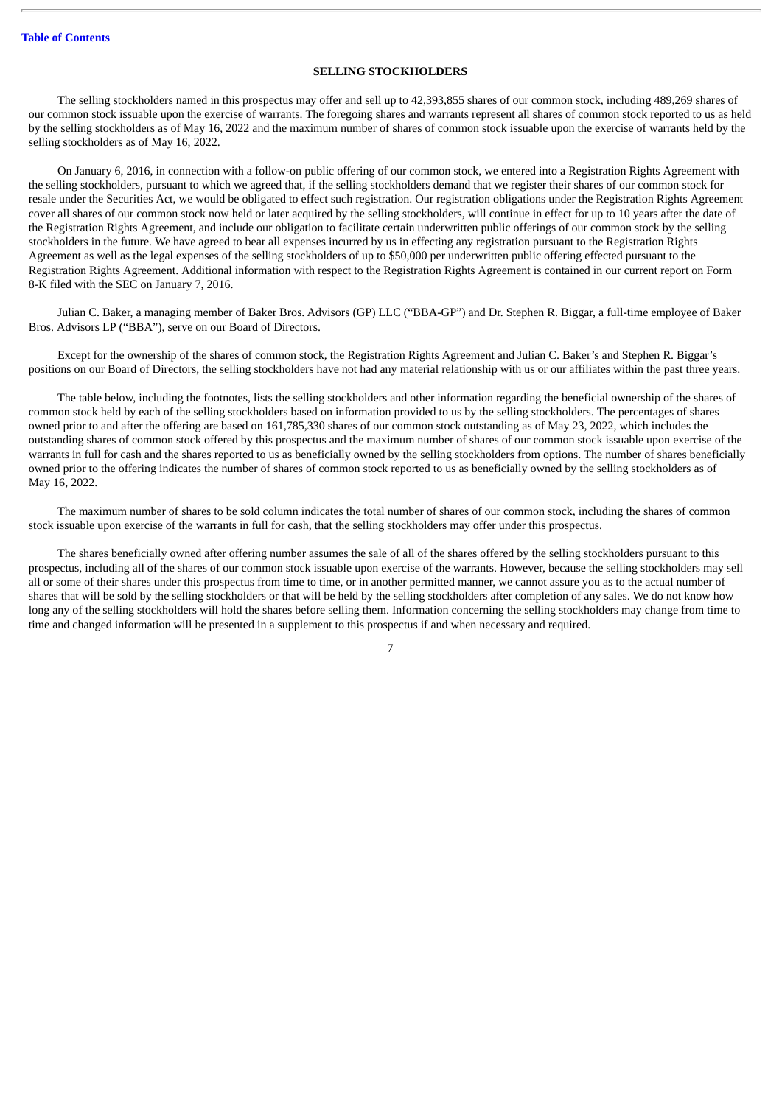#### **SELLING STOCKHOLDERS**

<span id="page-10-0"></span>The selling stockholders named in this prospectus may offer and sell up to 42,393,855 shares of our common stock, including 489,269 shares of our common stock issuable upon the exercise of warrants. The foregoing shares and warrants represent all shares of common stock reported to us as held by the selling stockholders as of May 16, 2022 and the maximum number of shares of common stock issuable upon the exercise of warrants held by the selling stockholders as of May 16, 2022.

On January 6, 2016, in connection with a follow-on public offering of our common stock, we entered into a Registration Rights Agreement with the selling stockholders, pursuant to which we agreed that, if the selling stockholders demand that we register their shares of our common stock for resale under the Securities Act, we would be obligated to effect such registration. Our registration obligations under the Registration Rights Agreement cover all shares of our common stock now held or later acquired by the selling stockholders, will continue in effect for up to 10 years after the date of the Registration Rights Agreement, and include our obligation to facilitate certain underwritten public offerings of our common stock by the selling stockholders in the future. We have agreed to bear all expenses incurred by us in effecting any registration pursuant to the Registration Rights Agreement as well as the legal expenses of the selling stockholders of up to \$50,000 per underwritten public offering effected pursuant to the Registration Rights Agreement. Additional information with respect to the Registration Rights Agreement is contained in our current report on Form 8-K filed with the SEC on January 7, 2016.

Julian C. Baker, a managing member of Baker Bros. Advisors (GP) LLC ("BBA-GP") and Dr. Stephen R. Biggar, a full-time employee of Baker Bros. Advisors LP ("BBA"), serve on our Board of Directors.

Except for the ownership of the shares of common stock, the Registration Rights Agreement and Julian C. Baker's and Stephen R. Biggar's positions on our Board of Directors, the selling stockholders have not had any material relationship with us or our affiliates within the past three years.

The table below, including the footnotes, lists the selling stockholders and other information regarding the beneficial ownership of the shares of common stock held by each of the selling stockholders based on information provided to us by the selling stockholders. The percentages of shares owned prior to and after the offering are based on 161,785,330 shares of our common stock outstanding as of May 23, 2022, which includes the outstanding shares of common stock offered by this prospectus and the maximum number of shares of our common stock issuable upon exercise of the warrants in full for cash and the shares reported to us as beneficially owned by the selling stockholders from options. The number of shares beneficially owned prior to the offering indicates the number of shares of common stock reported to us as beneficially owned by the selling stockholders as of May 16, 2022.

The maximum number of shares to be sold column indicates the total number of shares of our common stock, including the shares of common stock issuable upon exercise of the warrants in full for cash, that the selling stockholders may offer under this prospectus.

The shares beneficially owned after offering number assumes the sale of all of the shares offered by the selling stockholders pursuant to this prospectus, including all of the shares of our common stock issuable upon exercise of the warrants. However, because the selling stockholders may sell all or some of their shares under this prospectus from time to time, or in another permitted manner, we cannot assure you as to the actual number of shares that will be sold by the selling stockholders or that will be held by the selling stockholders after completion of any sales. We do not know how long any of the selling stockholders will hold the shares before selling them. Information concerning the selling stockholders may change from time to time and changed information will be presented in a supplement to this prospectus if and when necessary and required.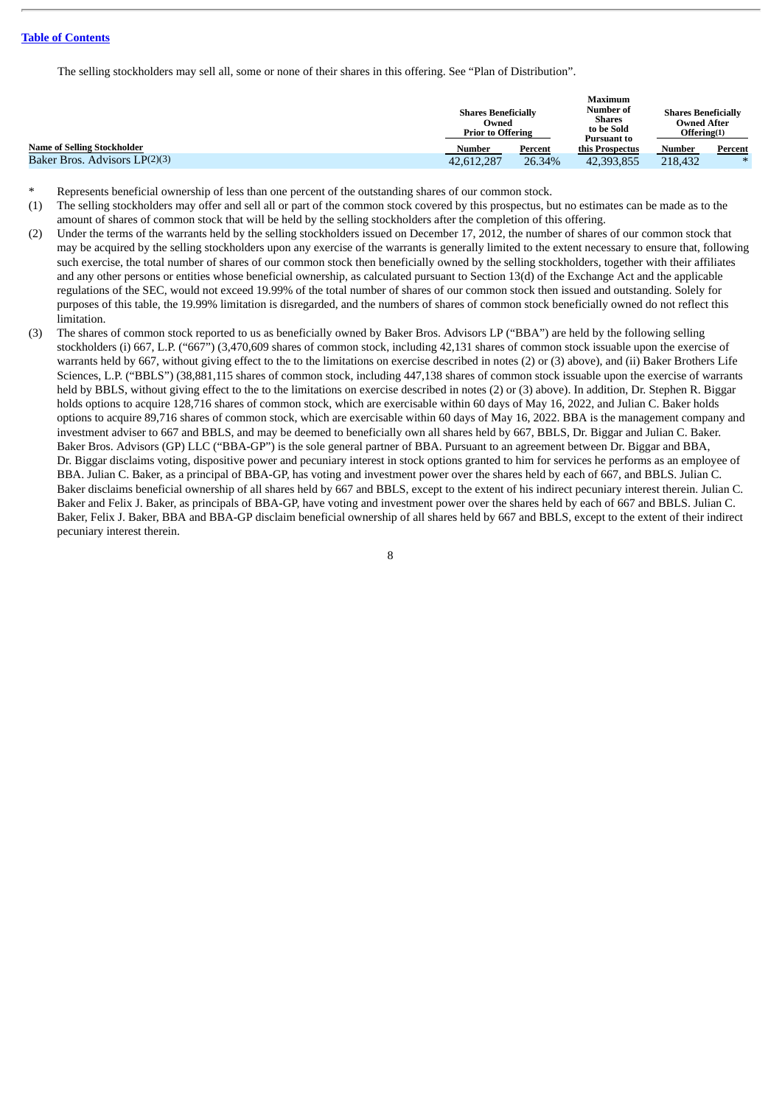The selling stockholders may sell all, some or none of their shares in this offering. See "Plan of Distribution".

|                                    | <b>Shares Beneficially</b><br>Owned<br><b>Prior to Offering</b> |         | Maximum<br>Number of<br><b>Shares</b><br>to be Sold<br><b>Pursuant to</b> | <b>Shares Beneficially</b><br><b>Owned After</b><br>Offering(1) |         |
|------------------------------------|-----------------------------------------------------------------|---------|---------------------------------------------------------------------------|-----------------------------------------------------------------|---------|
| <b>Name of Selling Stockholder</b> | Number                                                          | Percent | this Prospectus                                                           | Number                                                          | Percent |
| Baker Bros. Advisors LP(2)(3)      | 42,612,287                                                      | 26.34%  | 42,393,855                                                                | 218,432                                                         | $*$     |

- Represents beneficial ownership of less than one percent of the outstanding shares of our common stock.
- (1) The selling stockholders may offer and sell all or part of the common stock covered by this prospectus, but no estimates can be made as to the amount of shares of common stock that will be held by the selling stockholders after the completion of this offering.
- (2) Under the terms of the warrants held by the selling stockholders issued on December 17, 2012, the number of shares of our common stock that may be acquired by the selling stockholders upon any exercise of the warrants is generally limited to the extent necessary to ensure that, following such exercise, the total number of shares of our common stock then beneficially owned by the selling stockholders, together with their affiliates and any other persons or entities whose beneficial ownership, as calculated pursuant to Section 13(d) of the Exchange Act and the applicable regulations of the SEC, would not exceed 19.99% of the total number of shares of our common stock then issued and outstanding. Solely for purposes of this table, the 19.99% limitation is disregarded, and the numbers of shares of common stock beneficially owned do not reflect this limitation.
- (3) The shares of common stock reported to us as beneficially owned by Baker Bros. Advisors LP ("BBA") are held by the following selling stockholders (i) 667, L.P. ("667") (3,470,609 shares of common stock, including 42,131 shares of common stock issuable upon the exercise of warrants held by 667, without giving effect to the to the limitations on exercise described in notes (2) or (3) above), and (ii) Baker Brothers Life Sciences, L.P. ("BBLS") (38,881,115 shares of common stock, including 447,138 shares of common stock issuable upon the exercise of warrants held by BBLS, without giving effect to the to the limitations on exercise described in notes (2) or (3) above). In addition, Dr. Stephen R. Biggar holds options to acquire 128,716 shares of common stock, which are exercisable within 60 days of May 16, 2022, and Julian C. Baker holds options to acquire 89,716 shares of common stock, which are exercisable within 60 days of May 16, 2022. BBA is the management company and investment adviser to 667 and BBLS, and may be deemed to beneficially own all shares held by 667, BBLS, Dr. Biggar and Julian C. Baker. Baker Bros. Advisors (GP) LLC ("BBA-GP") is the sole general partner of BBA. Pursuant to an agreement between Dr. Biggar and BBA, Dr. Biggar disclaims voting, dispositive power and pecuniary interest in stock options granted to him for services he performs as an employee of BBA. Julian C. Baker, as a principal of BBA-GP, has voting and investment power over the shares held by each of 667, and BBLS. Julian C. Baker disclaims beneficial ownership of all shares held by 667 and BBLS, except to the extent of his indirect pecuniary interest therein. Julian C. Baker and Felix J. Baker, as principals of BBA-GP, have voting and investment power over the shares held by each of 667 and BBLS. Julian C. Baker, Felix J. Baker, BBA and BBA-GP disclaim beneficial ownership of all shares held by 667 and BBLS, except to the extent of their indirect pecuniary interest therein.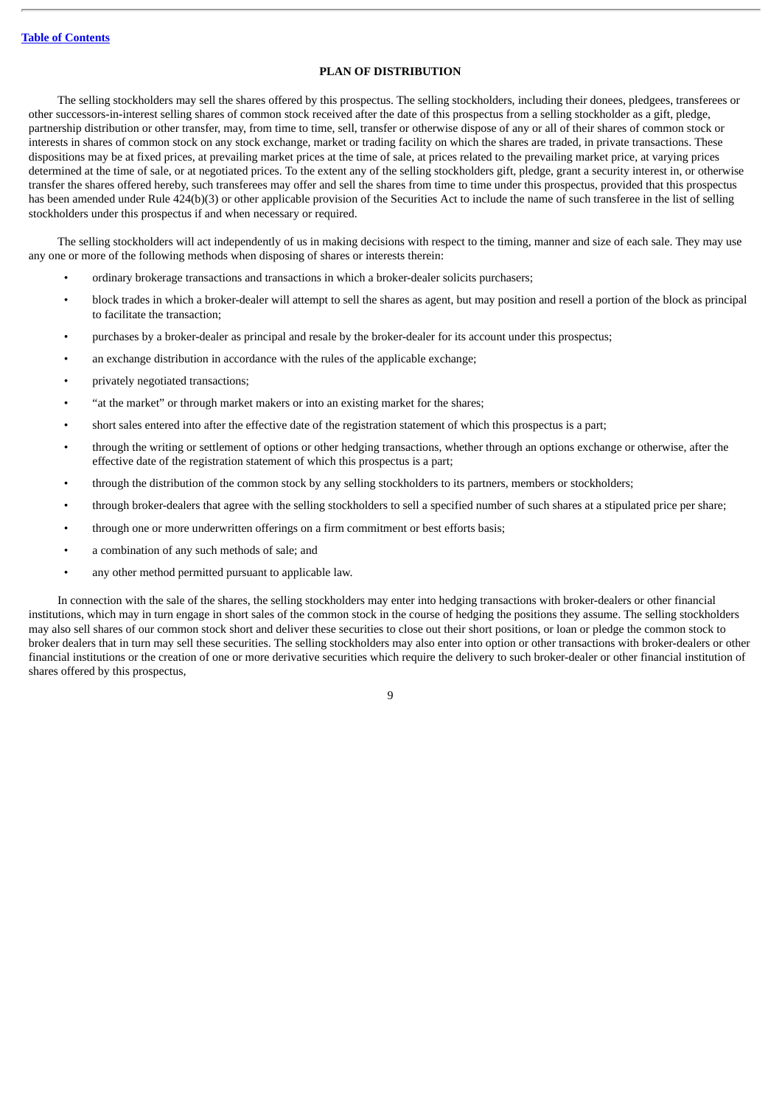#### **PLAN OF DISTRIBUTION**

<span id="page-12-0"></span>The selling stockholders may sell the shares offered by this prospectus. The selling stockholders, including their donees, pledgees, transferees or other successors-in-interest selling shares of common stock received after the date of this prospectus from a selling stockholder as a gift, pledge, partnership distribution or other transfer, may, from time to time, sell, transfer or otherwise dispose of any or all of their shares of common stock or interests in shares of common stock on any stock exchange, market or trading facility on which the shares are traded, in private transactions. These dispositions may be at fixed prices, at prevailing market prices at the time of sale, at prices related to the prevailing market price, at varying prices determined at the time of sale, or at negotiated prices. To the extent any of the selling stockholders gift, pledge, grant a security interest in, or otherwise transfer the shares offered hereby, such transferees may offer and sell the shares from time to time under this prospectus, provided that this prospectus has been amended under Rule 424(b)(3) or other applicable provision of the Securities Act to include the name of such transferee in the list of selling stockholders under this prospectus if and when necessary or required.

The selling stockholders will act independently of us in making decisions with respect to the timing, manner and size of each sale. They may use any one or more of the following methods when disposing of shares or interests therein:

- ordinary brokerage transactions and transactions in which a broker-dealer solicits purchasers;
- block trades in which a broker-dealer will attempt to sell the shares as agent, but may position and resell a portion of the block as principal to facilitate the transaction;
- purchases by a broker-dealer as principal and resale by the broker-dealer for its account under this prospectus;
- an exchange distribution in accordance with the rules of the applicable exchange;
- privately negotiated transactions;
- "at the market" or through market makers or into an existing market for the shares;
- short sales entered into after the effective date of the registration statement of which this prospectus is a part;
- through the writing or settlement of options or other hedging transactions, whether through an options exchange or otherwise, after the effective date of the registration statement of which this prospectus is a part;
- through the distribution of the common stock by any selling stockholders to its partners, members or stockholders;
- through broker-dealers that agree with the selling stockholders to sell a specified number of such shares at a stipulated price per share;
- through one or more underwritten offerings on a firm commitment or best efforts basis;
- a combination of any such methods of sale; and
- any other method permitted pursuant to applicable law.

In connection with the sale of the shares, the selling stockholders may enter into hedging transactions with broker-dealers or other financial institutions, which may in turn engage in short sales of the common stock in the course of hedging the positions they assume. The selling stockholders may also sell shares of our common stock short and deliver these securities to close out their short positions, or loan or pledge the common stock to broker dealers that in turn may sell these securities. The selling stockholders may also enter into option or other transactions with broker-dealers or other financial institutions or the creation of one or more derivative securities which require the delivery to such broker-dealer or other financial institution of shares offered by this prospectus,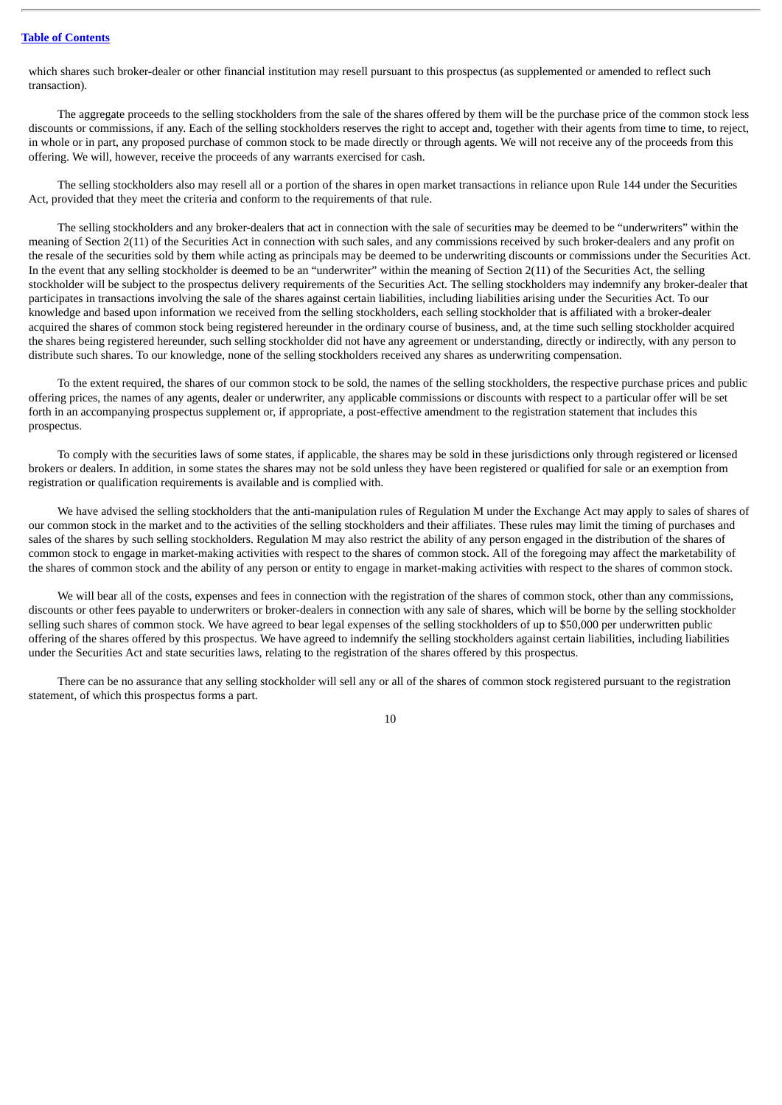which shares such broker-dealer or other financial institution may resell pursuant to this prospectus (as supplemented or amended to reflect such transaction).

The aggregate proceeds to the selling stockholders from the sale of the shares offered by them will be the purchase price of the common stock less discounts or commissions, if any. Each of the selling stockholders reserves the right to accept and, together with their agents from time to time, to reject, in whole or in part, any proposed purchase of common stock to be made directly or through agents. We will not receive any of the proceeds from this offering. We will, however, receive the proceeds of any warrants exercised for cash.

The selling stockholders also may resell all or a portion of the shares in open market transactions in reliance upon Rule 144 under the Securities Act, provided that they meet the criteria and conform to the requirements of that rule.

The selling stockholders and any broker-dealers that act in connection with the sale of securities may be deemed to be "underwriters" within the meaning of Section 2(11) of the Securities Act in connection with such sales, and any commissions received by such broker-dealers and any profit on the resale of the securities sold by them while acting as principals may be deemed to be underwriting discounts or commissions under the Securities Act. In the event that any selling stockholder is deemed to be an "underwriter" within the meaning of Section 2(11) of the Securities Act, the selling stockholder will be subject to the prospectus delivery requirements of the Securities Act. The selling stockholders may indemnify any broker-dealer that participates in transactions involving the sale of the shares against certain liabilities, including liabilities arising under the Securities Act. To our knowledge and based upon information we received from the selling stockholders, each selling stockholder that is affiliated with a broker-dealer acquired the shares of common stock being registered hereunder in the ordinary course of business, and, at the time such selling stockholder acquired the shares being registered hereunder, such selling stockholder did not have any agreement or understanding, directly or indirectly, with any person to distribute such shares. To our knowledge, none of the selling stockholders received any shares as underwriting compensation.

To the extent required, the shares of our common stock to be sold, the names of the selling stockholders, the respective purchase prices and public offering prices, the names of any agents, dealer or underwriter, any applicable commissions or discounts with respect to a particular offer will be set forth in an accompanying prospectus supplement or, if appropriate, a post-effective amendment to the registration statement that includes this prospectus.

To comply with the securities laws of some states, if applicable, the shares may be sold in these jurisdictions only through registered or licensed brokers or dealers. In addition, in some states the shares may not be sold unless they have been registered or qualified for sale or an exemption from registration or qualification requirements is available and is complied with.

We have advised the selling stockholders that the anti-manipulation rules of Regulation M under the Exchange Act may apply to sales of shares of our common stock in the market and to the activities of the selling stockholders and their affiliates. These rules may limit the timing of purchases and sales of the shares by such selling stockholders. Regulation M may also restrict the ability of any person engaged in the distribution of the shares of common stock to engage in market-making activities with respect to the shares of common stock. All of the foregoing may affect the marketability of the shares of common stock and the ability of any person or entity to engage in market-making activities with respect to the shares of common stock.

We will bear all of the costs, expenses and fees in connection with the registration of the shares of common stock, other than any commissions, discounts or other fees payable to underwriters or broker-dealers in connection with any sale of shares, which will be borne by the selling stockholder selling such shares of common stock. We have agreed to bear legal expenses of the selling stockholders of up to \$50,000 per underwritten public offering of the shares offered by this prospectus. We have agreed to indemnify the selling stockholders against certain liabilities, including liabilities under the Securities Act and state securities laws, relating to the registration of the shares offered by this prospectus.

There can be no assurance that any selling stockholder will sell any or all of the shares of common stock registered pursuant to the registration statement, of which this prospectus forms a part.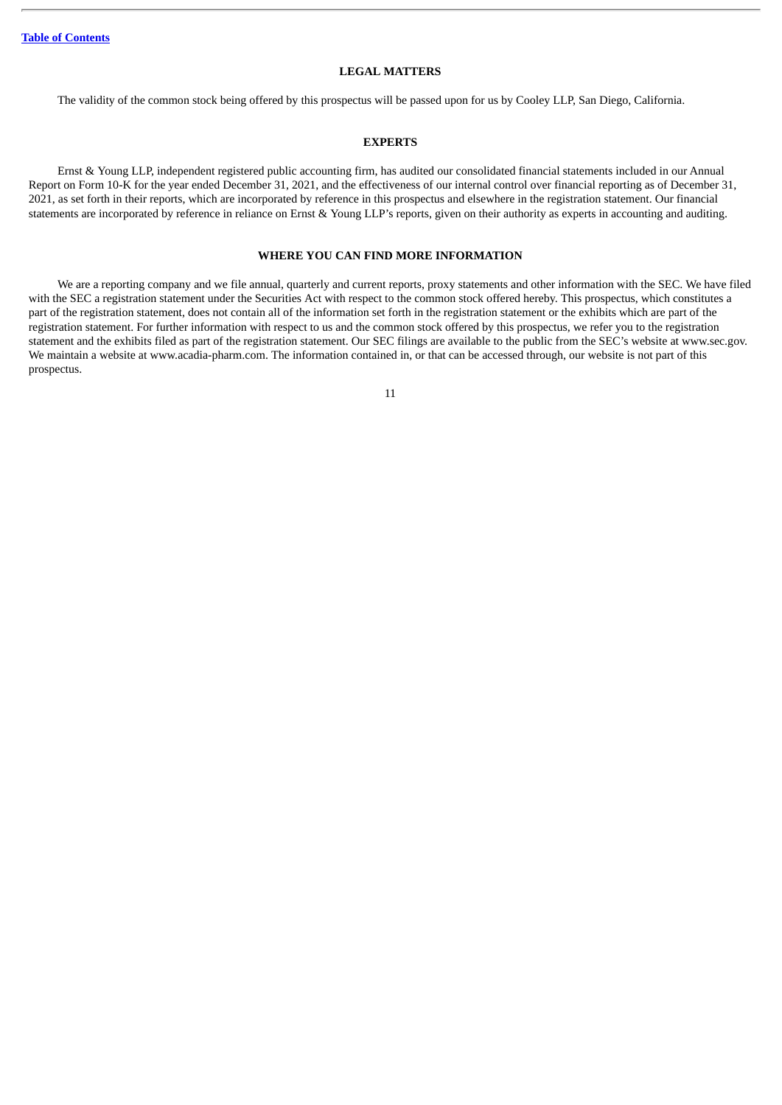#### **LEGAL MATTERS**

<span id="page-14-0"></span>The validity of the common stock being offered by this prospectus will be passed upon for us by Cooley LLP, San Diego, California.

#### **EXPERTS**

<span id="page-14-1"></span>Ernst & Young LLP, independent registered public accounting firm, has audited our consolidated financial statements included in our Annual Report on Form 10-K for the year ended December 31, 2021, and the effectiveness of our internal control over financial reporting as of December 31, 2021, as set forth in their reports, which are incorporated by reference in this prospectus and elsewhere in the registration statement. Our financial statements are incorporated by reference in reliance on Ernst & Young LLP's reports, given on their authority as experts in accounting and auditing.

#### **WHERE YOU CAN FIND MORE INFORMATION**

<span id="page-14-2"></span>We are a reporting company and we file annual, quarterly and current reports, proxy statements and other information with the SEC. We have filed with the SEC a registration statement under the Securities Act with respect to the common stock offered hereby. This prospectus, which constitutes a part of the registration statement, does not contain all of the information set forth in the registration statement or the exhibits which are part of the registration statement. For further information with respect to us and the common stock offered by this prospectus, we refer you to the registration statement and the exhibits filed as part of the registration statement. Our SEC filings are available to the public from the SEC's website at www.sec.gov. We maintain a website at www.acadia-pharm.com. The information contained in, or that can be accessed through, our website is not part of this prospectus.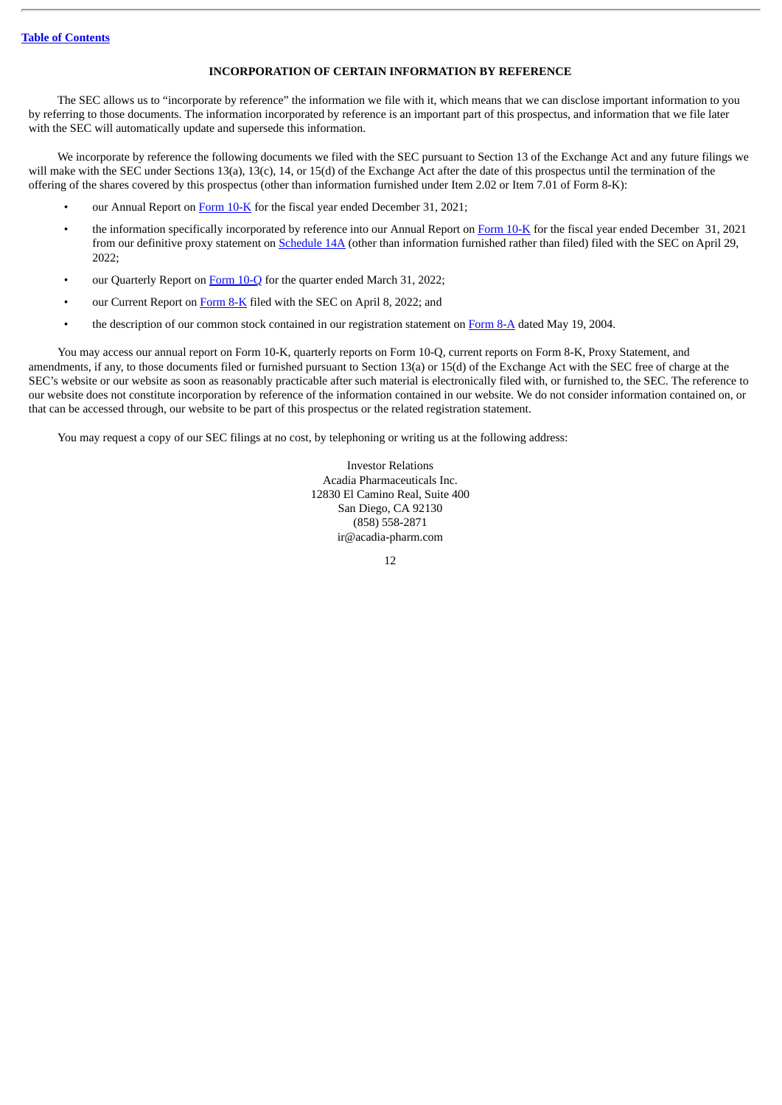#### **INCORPORATION OF CERTAIN INFORMATION BY REFERENCE**

The SEC allows us to "incorporate by reference" the information we file with it, which means that we can disclose important information to you by referring to those documents. The information incorporated by reference is an important part of this prospectus, and information that we file later with the SEC will automatically update and supersede this information.

We incorporate by reference the following documents we filed with the SEC pursuant to Section 13 of the Exchange Act and any future filings we will make with the SEC under Sections 13(a), 13(c), 14, or 15(d) of the Exchange Act after the date of this prospectus until the termination of the offering of the shares covered by this prospectus (other than information furnished under Item 2.02 or Item 7.01 of Form 8-K):

- our Annual Report on [Form](http://www.sec.gov/ix?doc=/Archives/edgar/data/1070494/000095017022002392/acad-20211231.htm) 10-K for the fiscal year ended December 31, 2021;
- the information specifically incorporated by reference into our Annual Report on [Form](http://www.sec.gov/ix?doc=/Archives/edgar/data/1070494/000095017022002392/acad-20211231.htm) 10-K for the fiscal year ended December 31, 2021 from our definitive proxy statement on [Schedule](http://www.sec.gov/Archives/edgar/data/1070494/000156459022016850/acad-def14a_20220607.htm) 14A (other than information furnished rather than filed) filed with the SEC on April 29, 2022;
- our Quarterly Report on [Form](http://www.sec.gov/ix?doc=/Archives/edgar/data/1070494/000095017022007468/acad-20220331.htm) 10-Q for the quarter ended March 31, 2022;
- our Current Report on [Form](http://www.sec.gov/ix?doc=/Archives/edgar/data/1070494/000119312522100541/d353045d8k.htm) 8-K filed with the SEC on April 8, 2022; and
- the description of our common stock contained in our registration statement on [Form](http://www.sec.gov/Archives/edgar/data/1070494/000119312504091609/d8a12g.htm) 8-A dated May 19, 2004.

You may access our annual report on Form 10-K, quarterly reports on Form 10-Q, current reports on Form 8-K, Proxy Statement, and amendments, if any, to those documents filed or furnished pursuant to Section 13(a) or 15(d) of the Exchange Act with the SEC free of charge at the SEC's website or our website as soon as reasonably practicable after such material is electronically filed with, or furnished to, the SEC. The reference to our website does not constitute incorporation by reference of the information contained in our website. We do not consider information contained on, or that can be accessed through, our website to be part of this prospectus or the related registration statement.

You may request a copy of our SEC filings at no cost, by telephoning or writing us at the following address:

Investor Relations Acadia Pharmaceuticals Inc. 12830 El Camino Real, Suite 400 San Diego, CA 92130 (858) 558-2871 ir@acadia-pharm.com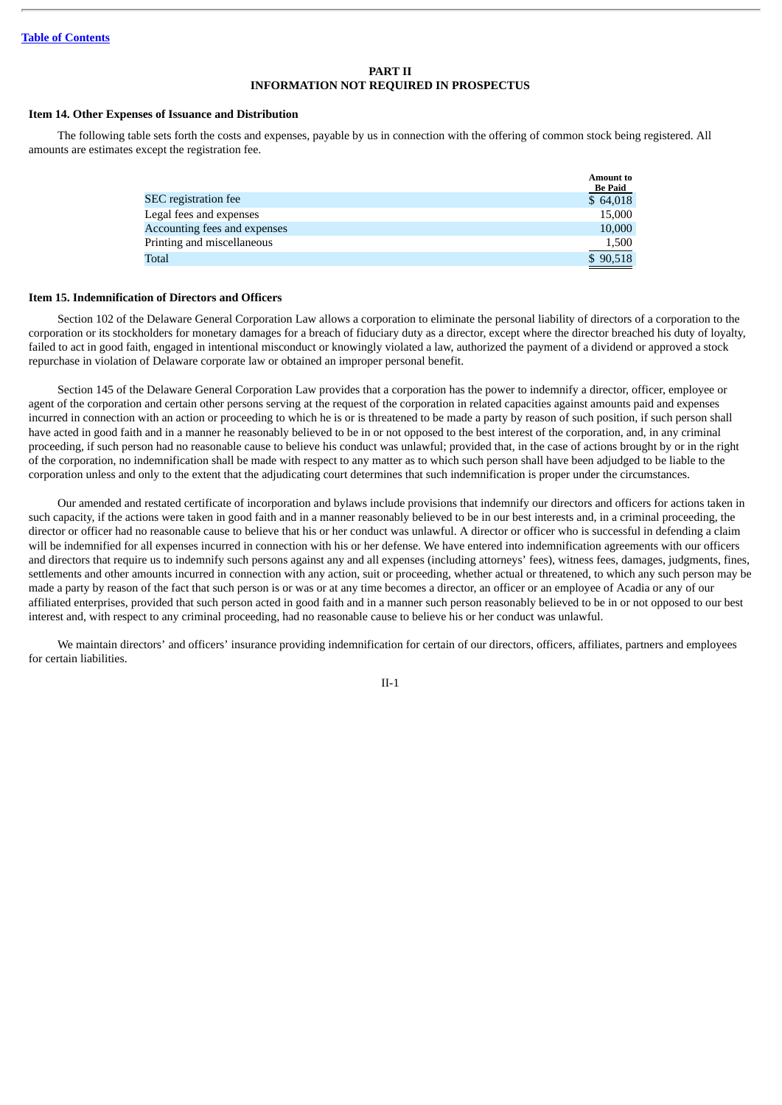#### **PART II INFORMATION NOT REQUIRED IN PROSPECTUS**

#### **Item 14. Other Expenses of Issuance and Distribution**

The following table sets forth the costs and expenses, payable by us in connection with the offering of common stock being registered. All amounts are estimates except the registration fee.

| <b>Amount to</b><br><b>Be Paid</b> |
|------------------------------------|
| \$64,018                           |
| 15,000                             |
| 10,000                             |
| 1,500                              |
| \$90,518                           |
|                                    |

#### **Item 15. Indemnification of Directors and Officers**

Section 102 of the Delaware General Corporation Law allows a corporation to eliminate the personal liability of directors of a corporation to the corporation or its stockholders for monetary damages for a breach of fiduciary duty as a director, except where the director breached his duty of loyalty, failed to act in good faith, engaged in intentional misconduct or knowingly violated a law, authorized the payment of a dividend or approved a stock repurchase in violation of Delaware corporate law or obtained an improper personal benefit.

Section 145 of the Delaware General Corporation Law provides that a corporation has the power to indemnify a director, officer, employee or agent of the corporation and certain other persons serving at the request of the corporation in related capacities against amounts paid and expenses incurred in connection with an action or proceeding to which he is or is threatened to be made a party by reason of such position, if such person shall have acted in good faith and in a manner he reasonably believed to be in or not opposed to the best interest of the corporation, and, in any criminal proceeding, if such person had no reasonable cause to believe his conduct was unlawful; provided that, in the case of actions brought by or in the right of the corporation, no indemnification shall be made with respect to any matter as to which such person shall have been adjudged to be liable to the corporation unless and only to the extent that the adjudicating court determines that such indemnification is proper under the circumstances.

Our amended and restated certificate of incorporation and bylaws include provisions that indemnify our directors and officers for actions taken in such capacity, if the actions were taken in good faith and in a manner reasonably believed to be in our best interests and, in a criminal proceeding, the director or officer had no reasonable cause to believe that his or her conduct was unlawful. A director or officer who is successful in defending a claim will be indemnified for all expenses incurred in connection with his or her defense. We have entered into indemnification agreements with our officers and directors that require us to indemnify such persons against any and all expenses (including attorneys' fees), witness fees, damages, judgments, fines, settlements and other amounts incurred in connection with any action, suit or proceeding, whether actual or threatened, to which any such person may be made a party by reason of the fact that such person is or was or at any time becomes a director, an officer or an employee of Acadia or any of our affiliated enterprises, provided that such person acted in good faith and in a manner such person reasonably believed to be in or not opposed to our best interest and, with respect to any criminal proceeding, had no reasonable cause to believe his or her conduct was unlawful.

We maintain directors' and officers' insurance providing indemnification for certain of our directors, officers, affiliates, partners and employees for certain liabilities.

II-1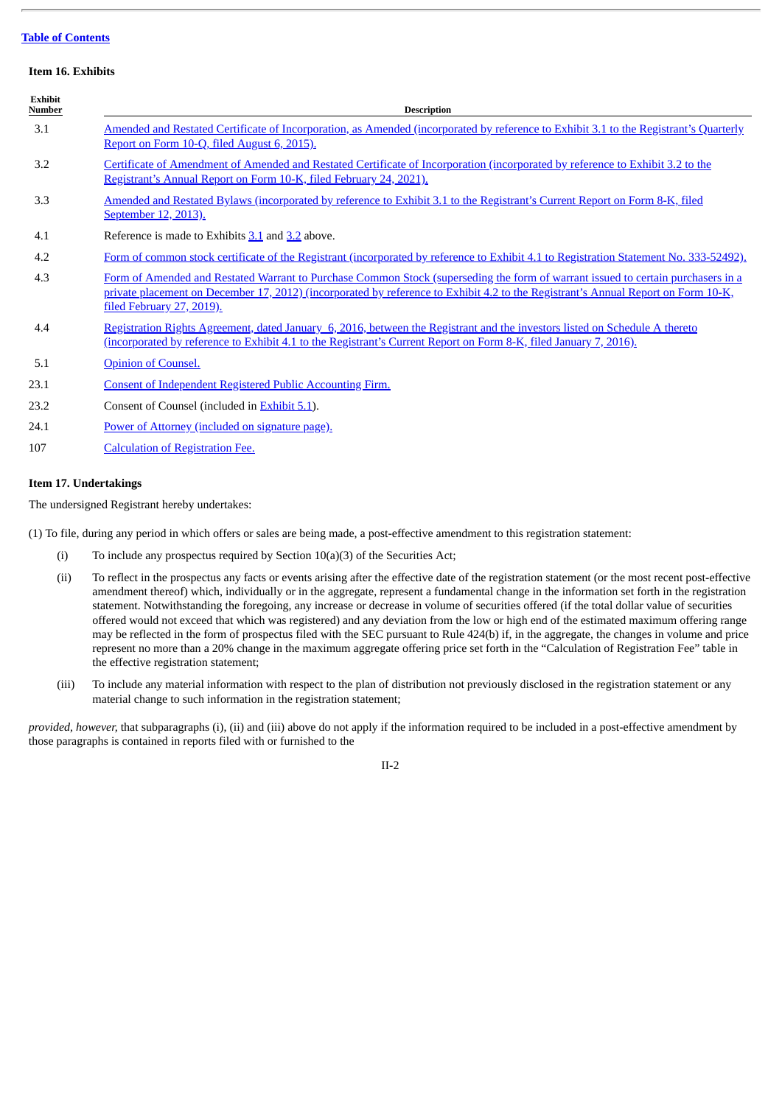#### **Item 16. Exhibits**

| <b>Exhibit</b><br>Number | <b>Description</b>                                                                                                                                                                                                                                                                                 |
|--------------------------|----------------------------------------------------------------------------------------------------------------------------------------------------------------------------------------------------------------------------------------------------------------------------------------------------|
| 3.1                      | Amended and Restated Certificate of Incorporation, as Amended (incorporated by reference to Exhibit 3.1 to the Registrant's Quarterly<br>Report on Form 10-Q, filed August 6, 2015).                                                                                                               |
| 3.2                      | Certificate of Amendment of Amended and Restated Certificate of Incorporation (incorporated by reference to Exhibit 3.2 to the<br>Registrant's Annual Report on Form 10-K, filed February 24, 2021).                                                                                               |
| 3.3                      | Amended and Restated Bylaws (incorporated by reference to Exhibit 3.1 to the Registrant's Current Report on Form 8-K, filed<br>September 12, 2013).                                                                                                                                                |
| 4.1                      | Reference is made to Exhibits 3.1 and 3.2 above.                                                                                                                                                                                                                                                   |
| 4.2                      | Form of common stock certificate of the Registrant (incorporated by reference to Exhibit 4.1 to Registration Statement No. 333-52492).                                                                                                                                                             |
| 4.3                      | Form of Amended and Restated Warrant to Purchase Common Stock (superseding the form of warrant issued to certain purchasers in a<br>private placement on December 17, 2012) (incorporated by reference to Exhibit 4.2 to the Registrant's Annual Report on Form 10-K,<br>filed February 27, 2019). |
| 4.4                      | Registration Rights Agreement, dated January 6, 2016, between the Registrant and the investors listed on Schedule A thereto<br>(incorporated by reference to Exhibit 4.1 to the Registrant's Current Report on Form 8-K, filed January 7, 2016).                                                   |
| 5.1                      | Opinion of Counsel.                                                                                                                                                                                                                                                                                |
| 23.1                     | Consent of Independent Registered Public Accounting Firm.                                                                                                                                                                                                                                          |
| 23.2                     | Consent of Counsel (included in <b>Exhibit 5.1</b> ).                                                                                                                                                                                                                                              |
| 24.1                     | Power of Attorney (included on signature page).                                                                                                                                                                                                                                                    |
| 107                      | <b>Calculation of Registration Fee.</b>                                                                                                                                                                                                                                                            |

#### **Item 17. Undertakings**

The undersigned Registrant hereby undertakes:

(1) To file, during any period in which offers or sales are being made, a post-effective amendment to this registration statement:

- (i) To include any prospectus required by Section  $10(a)(3)$  of the Securities Act;
- (ii) To reflect in the prospectus any facts or events arising after the effective date of the registration statement (or the most recent post-effective amendment thereof) which, individually or in the aggregate, represent a fundamental change in the information set forth in the registration statement. Notwithstanding the foregoing, any increase or decrease in volume of securities offered (if the total dollar value of securities offered would not exceed that which was registered) and any deviation from the low or high end of the estimated maximum offering range may be reflected in the form of prospectus filed with the SEC pursuant to Rule 424(b) if, in the aggregate, the changes in volume and price represent no more than a 20% change in the maximum aggregate offering price set forth in the "Calculation of Registration Fee" table in the effective registration statement;
- (iii) To include any material information with respect to the plan of distribution not previously disclosed in the registration statement or any material change to such information in the registration statement;

*provided, however,* that subparagraphs (i), (ii) and (iii) above do not apply if the information required to be included in a post-effective amendment by those paragraphs is contained in reports filed with or furnished to the

#### II-2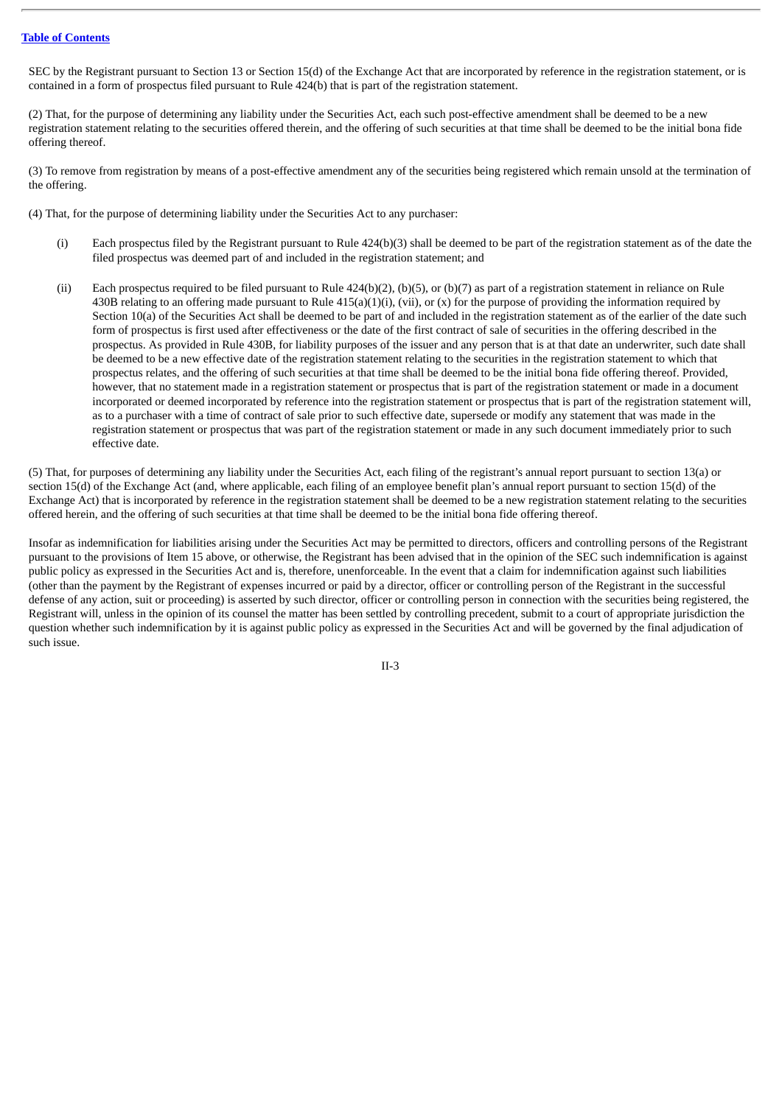SEC by the Registrant pursuant to Section 13 or Section 15(d) of the Exchange Act that are incorporated by reference in the registration statement, or is contained in a form of prospectus filed pursuant to Rule 424(b) that is part of the registration statement.

(2) That, for the purpose of determining any liability under the Securities Act, each such post-effective amendment shall be deemed to be a new registration statement relating to the securities offered therein, and the offering of such securities at that time shall be deemed to be the initial bona fide offering thereof.

(3) To remove from registration by means of a post-effective amendment any of the securities being registered which remain unsold at the termination of the offering.

(4) That, for the purpose of determining liability under the Securities Act to any purchaser:

- (i) Each prospectus filed by the Registrant pursuant to Rule 424(b)(3) shall be deemed to be part of the registration statement as of the date the filed prospectus was deemed part of and included in the registration statement; and
- (ii) Each prospectus required to be filed pursuant to Rule  $424(b)(2)$ , (b)(5), or (b)(7) as part of a registration statement in reliance on Rule 430B relating to an offering made pursuant to Rule  $415(a)(1)(i)$ , (vii), or (x) for the purpose of providing the information required by Section 10(a) of the Securities Act shall be deemed to be part of and included in the registration statement as of the earlier of the date such form of prospectus is first used after effectiveness or the date of the first contract of sale of securities in the offering described in the prospectus. As provided in Rule 430B, for liability purposes of the issuer and any person that is at that date an underwriter, such date shall be deemed to be a new effective date of the registration statement relating to the securities in the registration statement to which that prospectus relates, and the offering of such securities at that time shall be deemed to be the initial bona fide offering thereof. Provided, however, that no statement made in a registration statement or prospectus that is part of the registration statement or made in a document incorporated or deemed incorporated by reference into the registration statement or prospectus that is part of the registration statement will, as to a purchaser with a time of contract of sale prior to such effective date, supersede or modify any statement that was made in the registration statement or prospectus that was part of the registration statement or made in any such document immediately prior to such effective date.

(5) That, for purposes of determining any liability under the Securities Act, each filing of the registrant's annual report pursuant to section 13(a) or section 15(d) of the Exchange Act (and, where applicable, each filing of an employee benefit plan's annual report pursuant to section 15(d) of the Exchange Act) that is incorporated by reference in the registration statement shall be deemed to be a new registration statement relating to the securities offered herein, and the offering of such securities at that time shall be deemed to be the initial bona fide offering thereof.

Insofar as indemnification for liabilities arising under the Securities Act may be permitted to directors, officers and controlling persons of the Registrant pursuant to the provisions of Item 15 above, or otherwise, the Registrant has been advised that in the opinion of the SEC such indemnification is against public policy as expressed in the Securities Act and is, therefore, unenforceable. In the event that a claim for indemnification against such liabilities (other than the payment by the Registrant of expenses incurred or paid by a director, officer or controlling person of the Registrant in the successful defense of any action, suit or proceeding) is asserted by such director, officer or controlling person in connection with the securities being registered, the Registrant will, unless in the opinion of its counsel the matter has been settled by controlling precedent, submit to a court of appropriate jurisdiction the question whether such indemnification by it is against public policy as expressed in the Securities Act and will be governed by the final adjudication of such issue.

II-3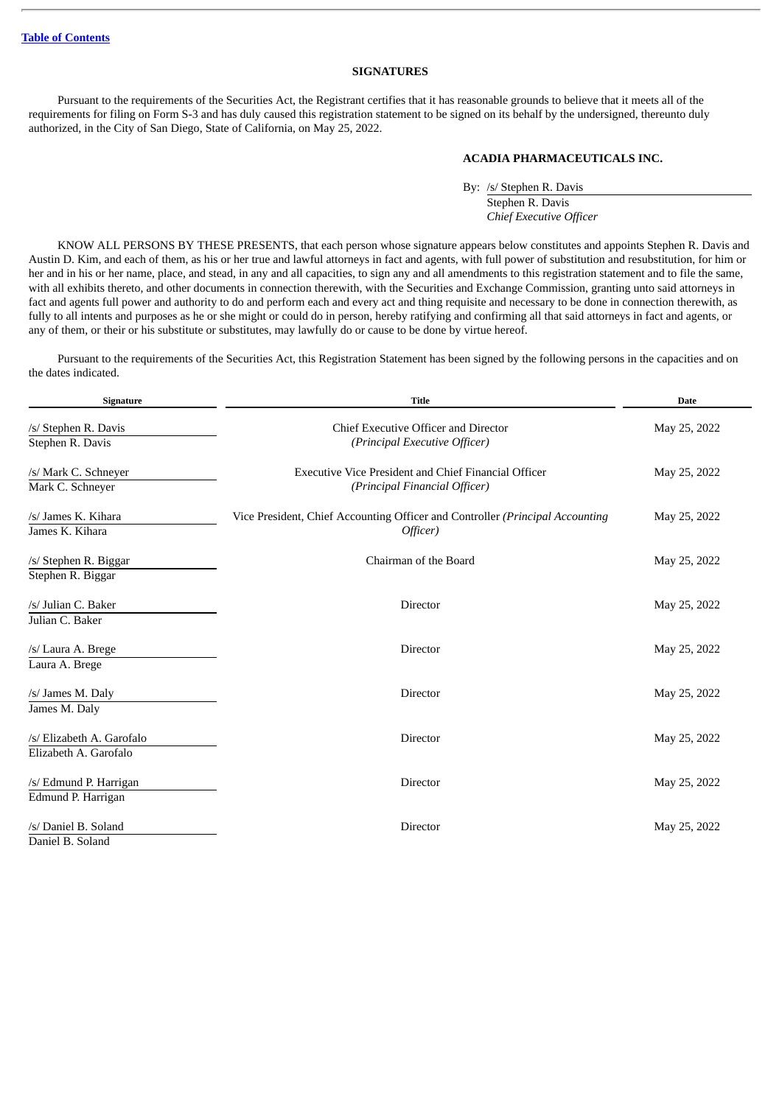#### **SIGNATURES**

<span id="page-19-0"></span>Pursuant to the requirements of the Securities Act, the Registrant certifies that it has reasonable grounds to believe that it meets all of the requirements for filing on Form S-3 and has duly caused this registration statement to be signed on its behalf by the undersigned, thereunto duly authorized, in the City of San Diego, State of California, on May 25, 2022.

#### **ACADIA PHARMACEUTICALS INC.**

By: /s/ Stephen R. Davis Stephen R. Davis *Chief Executive Officer*

KNOW ALL PERSONS BY THESE PRESENTS, that each person whose signature appears below constitutes and appoints Stephen R. Davis and Austin D. Kim, and each of them, as his or her true and lawful attorneys in fact and agents, with full power of substitution and resubstitution, for him or her and in his or her name, place, and stead, in any and all capacities, to sign any and all amendments to this registration statement and to file the same, with all exhibits thereto, and other documents in connection therewith, with the Securities and Exchange Commission, granting unto said attorneys in fact and agents full power and authority to do and perform each and every act and thing requisite and necessary to be done in connection therewith, as fully to all intents and purposes as he or she might or could do in person, hereby ratifying and confirming all that said attorneys in fact and agents, or any of them, or their or his substitute or substitutes, may lawfully do or cause to be done by virtue hereof.

Pursuant to the requirements of the Securities Act, this Registration Statement has been signed by the following persons in the capacities and on the dates indicated.

| Signature                 | <b>Title</b>                                                                  | <b>Date</b>  |
|---------------------------|-------------------------------------------------------------------------------|--------------|
| /s/ Stephen R. Davis      | Chief Executive Officer and Director                                          | May 25, 2022 |
| Stephen R. Davis          | (Principal Executive Officer)                                                 |              |
| /s/ Mark C. Schneyer      | <b>Executive Vice President and Chief Financial Officer</b>                   | May 25, 2022 |
| Mark C. Schneyer          | (Principal Financial Officer)                                                 |              |
| /s/ James K. Kihara       | Vice President, Chief Accounting Officer and Controller (Principal Accounting | May 25, 2022 |
| James K. Kihara           | Officer)                                                                      |              |
| /s/ Stephen R. Biggar     | Chairman of the Board                                                         | May 25, 2022 |
| Stephen R. Biggar         |                                                                               |              |
| /s/ Julian C. Baker       | Director                                                                      | May 25, 2022 |
| Julian C. Baker           |                                                                               |              |
| /s/ Laura A. Brege        | Director                                                                      | May 25, 2022 |
| Laura A. Brege            |                                                                               |              |
| /s/ James M. Daly         | <b>Director</b>                                                               | May 25, 2022 |
| James M. Daly             |                                                                               |              |
| /s/ Elizabeth A. Garofalo | Director                                                                      | May 25, 2022 |
| Elizabeth A. Garofalo     |                                                                               |              |
| /s/ Edmund P. Harrigan    | <b>Director</b>                                                               | May 25, 2022 |
| Edmund P. Harrigan        |                                                                               |              |
| /s/ Daniel B. Soland      | <b>Director</b>                                                               | May 25, 2022 |
| Daniel B. Soland          |                                                                               |              |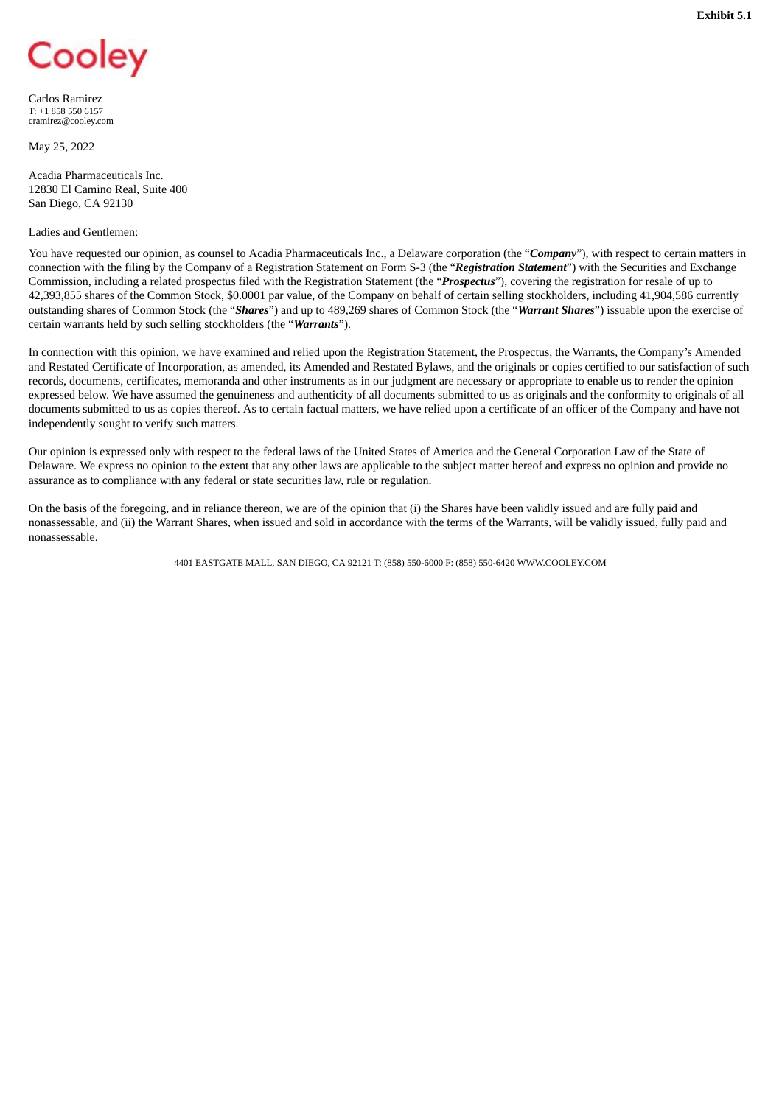## <span id="page-20-0"></span>Cooley

Carlos Ramirez T: +1 858 550 6157 cramirez@cooley.com

May 25, 2022

Acadia Pharmaceuticals Inc. 12830 El Camino Real, Suite 400 San Diego, CA 92130

#### Ladies and Gentlemen:

You have requested our opinion, as counsel to Acadia Pharmaceuticals Inc., a Delaware corporation (the "*Company*"), with respect to certain matters in connection with the filing by the Company of a Registration Statement on Form S-3 (the "*Registration Statement*") with the Securities and Exchange Commission, including a related prospectus filed with the Registration Statement (the "*Prospectus*"), covering the registration for resale of up to 42,393,855 shares of the Common Stock, \$0.0001 par value, of the Company on behalf of certain selling stockholders, including 41,904,586 currently outstanding shares of Common Stock (the "*Shares*") and up to 489,269 shares of Common Stock (the "*Warrant Shares*") issuable upon the exercise of certain warrants held by such selling stockholders (the "*Warrants*").

In connection with this opinion, we have examined and relied upon the Registration Statement, the Prospectus, the Warrants, the Company's Amended and Restated Certificate of Incorporation, as amended, its Amended and Restated Bylaws, and the originals or copies certified to our satisfaction of such records, documents, certificates, memoranda and other instruments as in our judgment are necessary or appropriate to enable us to render the opinion expressed below. We have assumed the genuineness and authenticity of all documents submitted to us as originals and the conformity to originals of all documents submitted to us as copies thereof. As to certain factual matters, we have relied upon a certificate of an officer of the Company and have not independently sought to verify such matters.

Our opinion is expressed only with respect to the federal laws of the United States of America and the General Corporation Law of the State of Delaware. We express no opinion to the extent that any other laws are applicable to the subject matter hereof and express no opinion and provide no assurance as to compliance with any federal or state securities law, rule or regulation.

On the basis of the foregoing, and in reliance thereon, we are of the opinion that (i) the Shares have been validly issued and are fully paid and nonassessable, and (ii) the Warrant Shares, when issued and sold in accordance with the terms of the Warrants, will be validly issued, fully paid and nonassessable.

4401 EASTGATE MALL, SAN DIEGO, CA 92121 T: (858) 550-6000 F: (858) 550-6420 WWW.COOLEY.COM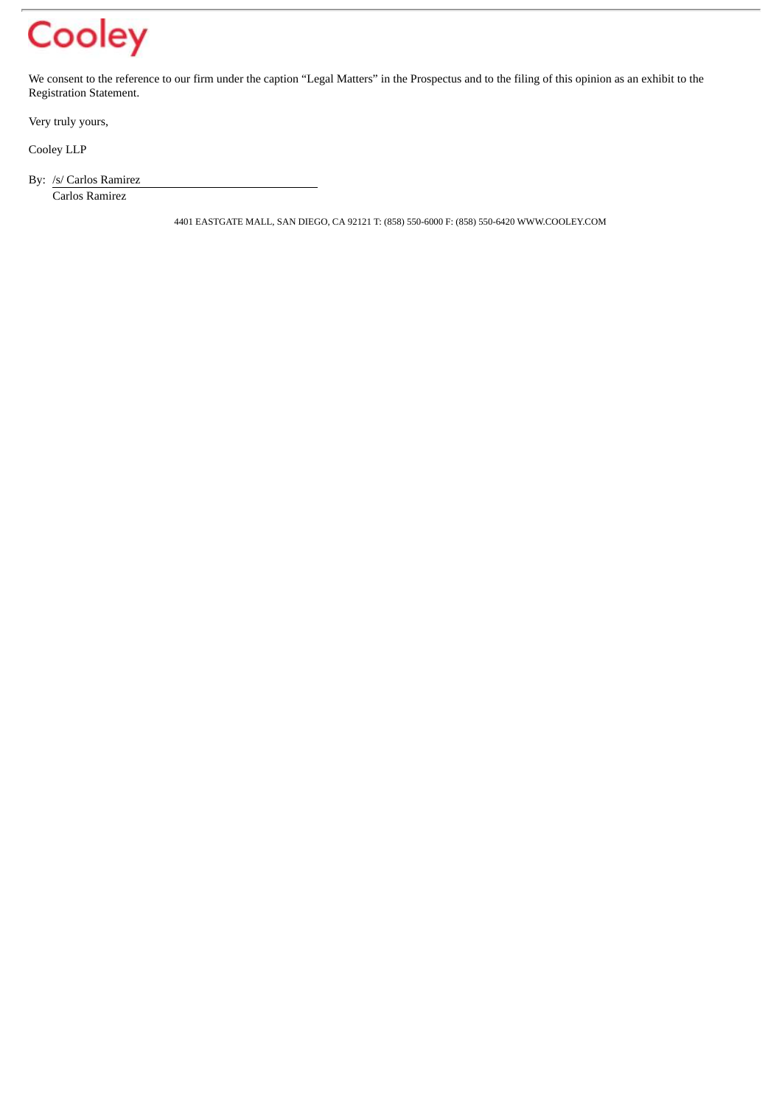### Cooley

We consent to the reference to our firm under the caption "Legal Matters" in the Prospectus and to the filing of this opinion as an exhibit to the Registration Statement.

Very truly yours,

Cooley LLP

By: /s/ Carlos Ramirez

Carlos Ramirez

4401 EASTGATE MALL, SAN DIEGO, CA 92121 T: (858) 550-6000 F: (858) 550-6420 WWW.COOLEY.COM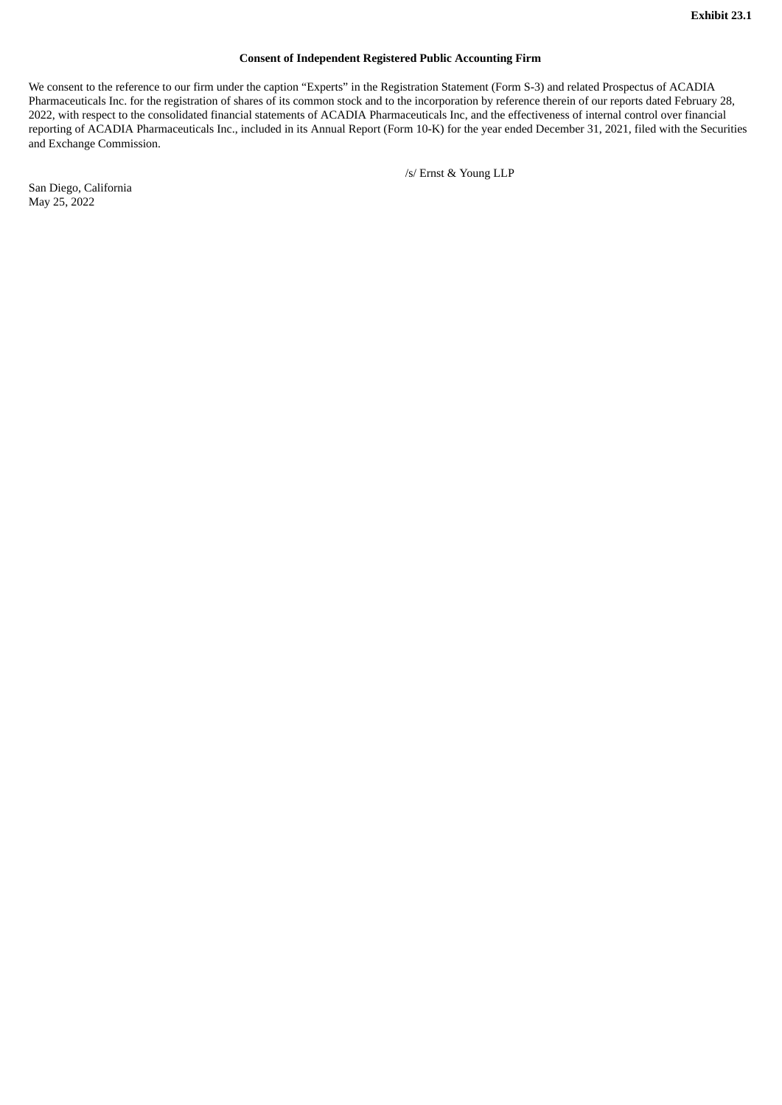#### **Consent of Independent Registered Public Accounting Firm**

<span id="page-22-0"></span>We consent to the reference to our firm under the caption "Experts" in the Registration Statement (Form S-3) and related Prospectus of ACADIA Pharmaceuticals Inc. for the registration of shares of its common stock and to the incorporation by reference therein of our reports dated February 28, 2022, with respect to the consolidated financial statements of ACADIA Pharmaceuticals Inc, and the effectiveness of internal control over financial reporting of ACADIA Pharmaceuticals Inc., included in its Annual Report (Form 10-K) for the year ended December 31, 2021, filed with the Securities and Exchange Commission.

/s/ Ernst & Young LLP

San Diego, California May 25, 2022